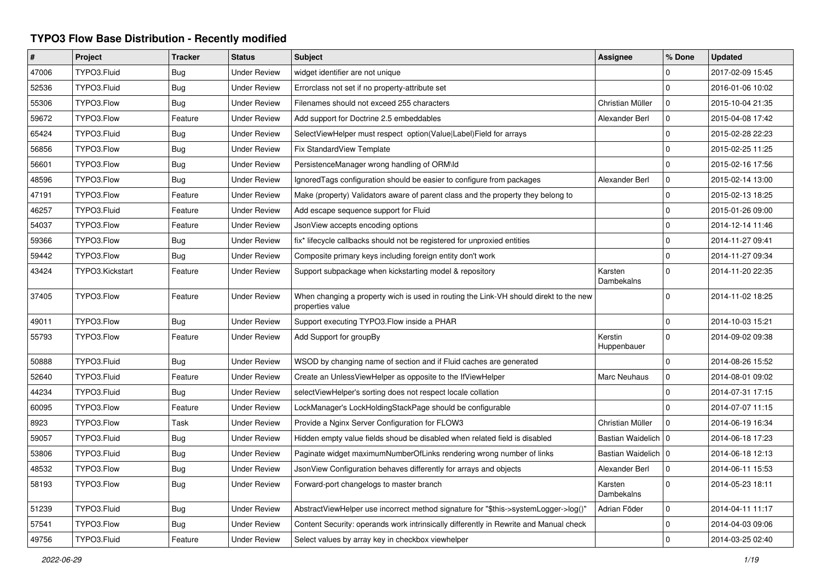## **TYPO3 Flow Base Distribution - Recently modified**

| $\pmb{\#}$ | Project         | <b>Tracker</b> | <b>Status</b>       | <b>Subject</b>                                                                                            | <b>Assignee</b>        | % Done       | <b>Updated</b>   |
|------------|-----------------|----------------|---------------------|-----------------------------------------------------------------------------------------------------------|------------------------|--------------|------------------|
| 47006      | TYPO3.Fluid     | Bug            | <b>Under Review</b> | widget identifier are not unique                                                                          |                        | 0            | 2017-02-09 15:45 |
| 52536      | TYPO3.Fluid     | Bug            | <b>Under Review</b> | Errorclass not set if no property-attribute set                                                           |                        | $\Omega$     | 2016-01-06 10:02 |
| 55306      | TYPO3.Flow      | <b>Bug</b>     | <b>Under Review</b> | Filenames should not exceed 255 characters                                                                | Christian Müller       | 0            | 2015-10-04 21:35 |
| 59672      | TYPO3.Flow      | Feature        | <b>Under Review</b> | Add support for Doctrine 2.5 embeddables                                                                  | Alexander Berl         | $\mathbf{0}$ | 2015-04-08 17:42 |
| 65424      | TYPO3.Fluid     | Bug            | <b>Under Review</b> | SelectViewHelper must respect option(Value Label)Field for arrays                                         |                        | $\mathbf 0$  | 2015-02-28 22:23 |
| 56856      | TYPO3.Flow      | <b>Bug</b>     | <b>Under Review</b> | Fix StandardView Template                                                                                 |                        | 0            | 2015-02-25 11:25 |
| 56601      | TYPO3.Flow      | Bug            | <b>Under Review</b> | PersistenceManager wrong handling of ORM\ld                                                               |                        | 0            | 2015-02-16 17:56 |
| 48596      | TYPO3.Flow      | Bug            | <b>Under Review</b> | IgnoredTags configuration should be easier to configure from packages                                     | Alexander Berl         | $\mathbf{0}$ | 2015-02-14 13:00 |
| 47191      | TYPO3.Flow      | Feature        | <b>Under Review</b> | Make (property) Validators aware of parent class and the property they belong to                          |                        | $\mathbf 0$  | 2015-02-13 18:25 |
| 46257      | TYPO3.Fluid     | Feature        | Under Review        | Add escape sequence support for Fluid                                                                     |                        | 0            | 2015-01-26 09:00 |
| 54037      | TYPO3.Flow      | Feature        | <b>Under Review</b> | JsonView accepts encoding options                                                                         |                        | 0            | 2014-12-14 11:46 |
| 59366      | TYPO3.Flow      | Bug            | <b>Under Review</b> | fix* lifecycle callbacks should not be registered for unproxied entities                                  |                        | $\mathbf{0}$ | 2014-11-27 09:41 |
| 59442      | TYPO3.Flow      | Bug            | <b>Under Review</b> | Composite primary keys including foreign entity don't work                                                |                        | $\mathbf 0$  | 2014-11-27 09:34 |
| 43424      | TYPO3.Kickstart | Feature        | <b>Under Review</b> | Support subpackage when kickstarting model & repository                                                   | Karsten<br>Dambekalns  | $\mathbf{0}$ | 2014-11-20 22:35 |
| 37405      | TYPO3.Flow      | Feature        | <b>Under Review</b> | When changing a property wich is used in routing the Link-VH should direkt to the new<br>properties value |                        | $\Omega$     | 2014-11-02 18:25 |
| 49011      | TYPO3.Flow      | Bug            | <b>Under Review</b> | Support executing TYPO3. Flow inside a PHAR                                                               |                        | $\Omega$     | 2014-10-03 15:21 |
| 55793      | TYPO3.Flow      | Feature        | <b>Under Review</b> | Add Support for groupBy                                                                                   | Kerstin<br>Huppenbauer | $\Omega$     | 2014-09-02 09:38 |
| 50888      | TYPO3.Fluid     | <b>Bug</b>     | <b>Under Review</b> | WSOD by changing name of section and if Fluid caches are generated                                        |                        | $\Omega$     | 2014-08-26 15:52 |
| 52640      | TYPO3.Fluid     | Feature        | <b>Under Review</b> | Create an UnlessViewHelper as opposite to the IfViewHelper                                                | <b>Marc Neuhaus</b>    | $\mathbf{0}$ | 2014-08-01 09:02 |
| 44234      | TYPO3.Fluid     | Bug            | <b>Under Review</b> | selectViewHelper's sorting does not respect locale collation                                              |                        | $\Omega$     | 2014-07-31 17:15 |
| 60095      | TYPO3.Flow      | Feature        | <b>Under Review</b> | LockManager's LockHoldingStackPage should be configurable                                                 |                        | $\Omega$     | 2014-07-07 11:15 |
| 8923       | TYPO3.Flow      | Task           | <b>Under Review</b> | Provide a Nginx Server Configuration for FLOW3                                                            | Christian Müller       | $\mathbf 0$  | 2014-06-19 16:34 |
| 59057      | TYPO3.Fluid     | Bug            | <b>Under Review</b> | Hidden empty value fields shoud be disabled when related field is disabled                                | Bastian Waidelich   0  |              | 2014-06-18 17:23 |
| 53806      | TYPO3.Fluid     | Bug            | <b>Under Review</b> | Paginate widget maximumNumberOfLinks rendering wrong number of links                                      | Bastian Waidelich   0  |              | 2014-06-18 12:13 |
| 48532      | TYPO3.Flow      | Bug            | <b>Under Review</b> | JsonView Configuration behaves differently for arrays and objects                                         | Alexander Berl         | $\mathbf 0$  | 2014-06-11 15:53 |
| 58193      | TYPO3.Flow      | Bug            | <b>Under Review</b> | Forward-port changelogs to master branch                                                                  | Karsten<br>Dambekalns  | $\Omega$     | 2014-05-23 18:11 |
| 51239      | TYPO3.Fluid     | <b>Bug</b>     | <b>Under Review</b> | AbstractViewHelper use incorrect method signature for "\$this->systemLogger->log()"                       | Adrian Föder           | $\mathbf 0$  | 2014-04-11 11:17 |
| 57541      | TYPO3.Flow      | Bug            | <b>Under Review</b> | Content Security: operands work intrinsically differently in Rewrite and Manual check                     |                        | 0            | 2014-04-03 09:06 |
| 49756      | TYPO3.Fluid     | Feature        | <b>Under Review</b> | Select values by array key in checkbox viewhelper                                                         |                        | $\mathbf 0$  | 2014-03-25 02:40 |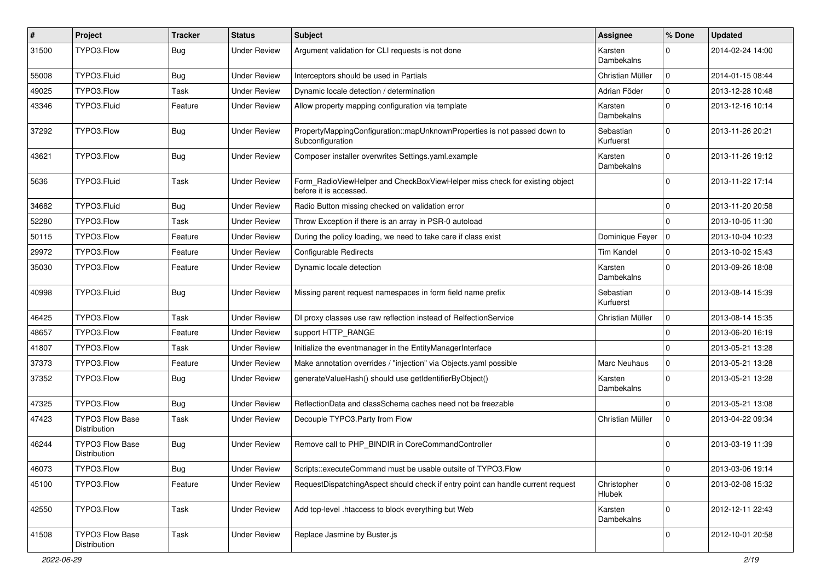| $\vert$ # | Project                                | <b>Tracker</b> | <b>Status</b>       | <b>Subject</b>                                                                                       | <b>Assignee</b>        | % Done      | <b>Updated</b>   |
|-----------|----------------------------------------|----------------|---------------------|------------------------------------------------------------------------------------------------------|------------------------|-------------|------------------|
| 31500     | TYPO3.Flow                             | <b>Bug</b>     | <b>Under Review</b> | Argument validation for CLI requests is not done                                                     | Karsten<br>Dambekalns  | 0           | 2014-02-24 14:00 |
| 55008     | TYPO3.Fluid                            | Bug            | <b>Under Review</b> | Interceptors should be used in Partials                                                              | Christian Müller       | $\mathbf 0$ | 2014-01-15 08:44 |
| 49025     | TYPO3.Flow                             | Task           | <b>Under Review</b> | Dynamic locale detection / determination                                                             | Adrian Föder           | $\mathbf 0$ | 2013-12-28 10:48 |
| 43346     | TYPO3.Fluid                            | Feature        | <b>Under Review</b> | Allow property mapping configuration via template                                                    | Karsten<br>Dambekalns  | $\Omega$    | 2013-12-16 10:14 |
| 37292     | TYPO3.Flow                             | <b>Bug</b>     | <b>Under Review</b> | PropertyMappingConfiguration::mapUnknownProperties is not passed down to<br>Subconfiguration         | Sebastian<br>Kurfuerst | $\Omega$    | 2013-11-26 20:21 |
| 43621     | TYPO3.Flow                             | Bug            | <b>Under Review</b> | Composer installer overwrites Settings.yaml.example                                                  | Karsten<br>Dambekalns  | $\mathbf 0$ | 2013-11-26 19:12 |
| 5636      | TYPO3.Fluid                            | Task           | <b>Under Review</b> | Form_RadioViewHelper and CheckBoxViewHelper miss check for existing object<br>before it is accessed. |                        | $\mathbf 0$ | 2013-11-22 17:14 |
| 34682     | TYPO3.Fluid                            | Bug            | <b>Under Review</b> | Radio Button missing checked on validation error                                                     |                        | 0           | 2013-11-20 20:58 |
| 52280     | TYPO3.Flow                             | Task           | <b>Under Review</b> | Throw Exception if there is an array in PSR-0 autoload                                               |                        | $\Omega$    | 2013-10-05 11:30 |
| 50115     | TYPO3.Flow                             | Feature        | <b>Under Review</b> | During the policy loading, we need to take care if class exist                                       | Dominique Feyer        | $\mathbf 0$ | 2013-10-04 10:23 |
| 29972     | TYPO3.Flow                             | Feature        | <b>Under Review</b> | Configurable Redirects                                                                               | Tim Kandel             | $\mathbf 0$ | 2013-10-02 15:43 |
| 35030     | TYPO3.Flow                             | Feature        | <b>Under Review</b> | Dynamic locale detection                                                                             | Karsten<br>Dambekalns  | $\mathbf 0$ | 2013-09-26 18:08 |
| 40998     | TYPO3.Fluid                            | Bug            | <b>Under Review</b> | Missing parent request namespaces in form field name prefix                                          | Sebastian<br>Kurfuerst | $\mathbf 0$ | 2013-08-14 15:39 |
| 46425     | TYPO3.Flow                             | Task           | <b>Under Review</b> | DI proxy classes use raw reflection instead of RelfectionService                                     | Christian Müller       | $\mathbf 0$ | 2013-08-14 15:35 |
| 48657     | TYPO3.Flow                             | Feature        | <b>Under Review</b> | support HTTP_RANGE                                                                                   |                        | $\mathbf 0$ | 2013-06-20 16:19 |
| 41807     | TYPO3.Flow                             | Task           | <b>Under Review</b> | Initialize the eventmanager in the EntityManagerInterface                                            |                        | $\mathbf 0$ | 2013-05-21 13:28 |
| 37373     | TYPO3.Flow                             | Feature        | <b>Under Review</b> | Make annotation overrides / "injection" via Objects.yaml possible                                    | Marc Neuhaus           | $\mathbf 0$ | 2013-05-21 13:28 |
| 37352     | TYPO3.Flow                             | Bug            | <b>Under Review</b> | generateValueHash() should use getIdentifierByObject()                                               | Karsten<br>Dambekalns  | $\mathbf 0$ | 2013-05-21 13:28 |
| 47325     | TYPO3.Flow                             | Bug            | <b>Under Review</b> | ReflectionData and classSchema caches need not be freezable                                          |                        | $\mathbf 0$ | 2013-05-21 13:08 |
| 47423     | <b>TYPO3 Flow Base</b><br>Distribution | Task           | <b>Under Review</b> | Decouple TYPO3.Party from Flow                                                                       | Christian Müller       | 0           | 2013-04-22 09:34 |
| 46244     | TYPO3 Flow Base<br>Distribution        | Bug            | <b>Under Review</b> | Remove call to PHP_BINDIR in CoreCommandController                                                   |                        | $\Omega$    | 2013-03-19 11:39 |
| 46073     | TYPO3.Flow                             | Bug            | <b>Under Review</b> | Scripts::executeCommand must be usable outsite of TYPO3.Flow                                         |                        | 0           | 2013-03-06 19:14 |
| 45100     | TYPO3.Flow                             | Feature        | <b>Under Review</b> | RequestDispatchingAspect should check if entry point can handle current request                      | Christopher<br>Hlubek  | $\mathbf 0$ | 2013-02-08 15:32 |
| 42550     | TYPO3.Flow                             | Task           | <b>Under Review</b> | Add top-level .htaccess to block everything but Web                                                  | Karsten<br>Dambekalns  | $\mathbf 0$ | 2012-12-11 22:43 |
| 41508     | <b>TYPO3 Flow Base</b><br>Distribution | Task           | <b>Under Review</b> | Replace Jasmine by Buster.js                                                                         |                        | $\mathbf 0$ | 2012-10-01 20:58 |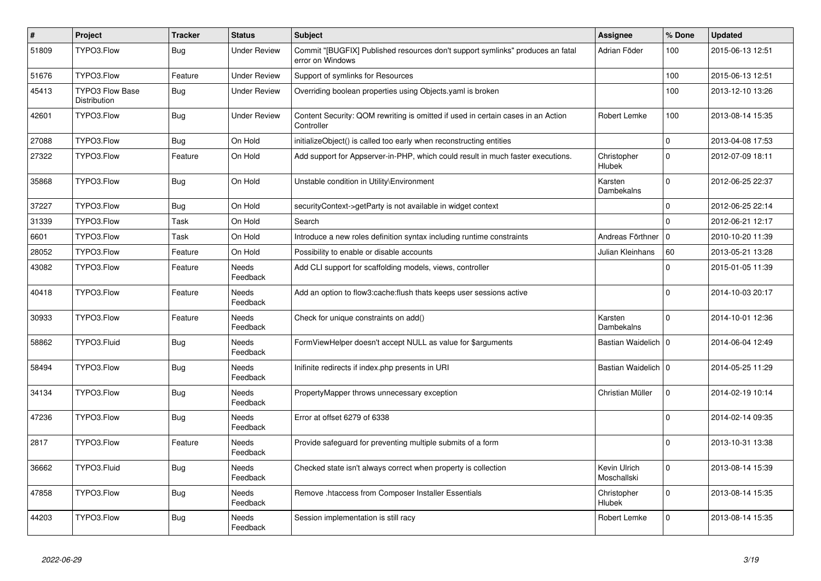| $\vert$ # | <b>Project</b>                  | <b>Tracker</b> | <b>Status</b>            | <b>Subject</b>                                                                                     | Assignee                     | % Done       | <b>Updated</b>   |
|-----------|---------------------------------|----------------|--------------------------|----------------------------------------------------------------------------------------------------|------------------------------|--------------|------------------|
| 51809     | TYPO3.Flow                      | Bug            | <b>Under Review</b>      | Commit "[BUGFIX] Published resources don't support symlinks" produces an fatal<br>error on Windows | Adrian Föder                 | 100          | 2015-06-13 12:51 |
| 51676     | TYPO3.Flow                      | Feature        | <b>Under Review</b>      | Support of symlinks for Resources                                                                  |                              | 100          | 2015-06-13 12:51 |
| 45413     | TYPO3 Flow Base<br>Distribution | Bug            | <b>Under Review</b>      | Overriding boolean properties using Objects yaml is broken                                         |                              | 100          | 2013-12-10 13:26 |
| 42601     | TYPO3.Flow                      | Bug            | <b>Under Review</b>      | Content Security: QOM rewriting is omitted if used in certain cases in an Action<br>Controller     | Robert Lemke                 | 100          | 2013-08-14 15:35 |
| 27088     | TYPO3.Flow                      | <b>Bug</b>     | On Hold                  | initializeObject() is called too early when reconstructing entities                                |                              | $\mathbf{0}$ | 2013-04-08 17:53 |
| 27322     | TYPO3.Flow                      | Feature        | On Hold                  | Add support for Appserver-in-PHP, which could result in much faster executions.                    | Christopher<br><b>Hlubek</b> | $\Omega$     | 2012-07-09 18:11 |
| 35868     | TYPO3.Flow                      | <b>Bug</b>     | On Hold                  | Unstable condition in Utility\Environment                                                          | Karsten<br>Dambekalns        | $\mathbf{0}$ | 2012-06-25 22:37 |
| 37227     | TYPO3.Flow                      | Bug            | On Hold                  | securityContext->getParty is not available in widget context                                       |                              | $\mathbf 0$  | 2012-06-25 22:14 |
| 31339     | TYPO3.Flow                      | Task           | On Hold                  | Search                                                                                             |                              | $\Omega$     | 2012-06-21 12:17 |
| 6601      | TYPO3.Flow                      | Task           | On Hold                  | Introduce a new roles definition syntax including runtime constraints                              | Andreas Förthner             | $\mathbf 0$  | 2010-10-20 11:39 |
| 28052     | TYPO3.Flow                      | Feature        | On Hold                  | Possibility to enable or disable accounts                                                          | Julian Kleinhans             | 60           | 2013-05-21 13:28 |
| 43082     | TYPO3.Flow                      | Feature        | Needs<br>Feedback        | Add CLI support for scaffolding models, views, controller                                          |                              | $\Omega$     | 2015-01-05 11:39 |
| 40418     | TYPO3.Flow                      | Feature        | Needs<br>Feedback        | Add an option to flow3:cache:flush thats keeps user sessions active                                |                              | $\Omega$     | 2014-10-03 20:17 |
| 30933     | TYPO3.Flow                      | Feature        | <b>Needs</b><br>Feedback | Check for unique constraints on add()                                                              | Karsten<br>Dambekalns        | $\Omega$     | 2014-10-01 12:36 |
| 58862     | TYPO3.Fluid                     | <b>Bug</b>     | Needs<br>Feedback        | FormViewHelper doesn't accept NULL as value for \$arguments                                        | Bastian Waidelich   0        |              | 2014-06-04 12:49 |
| 58494     | TYPO3.Flow                      | <b>Bug</b>     | Needs<br>Feedback        | Inifinite redirects if index.php presents in URI                                                   | Bastian Waidelich   0        |              | 2014-05-25 11:29 |
| 34134     | TYPO3.Flow                      | Bug            | <b>Needs</b><br>Feedback | PropertyMapper throws unnecessary exception                                                        | Christian Müller             | $\Omega$     | 2014-02-19 10:14 |
| 47236     | TYPO3.Flow                      | Bug            | Needs<br>Feedback        | Error at offset 6279 of 6338                                                                       |                              | $\mathbf 0$  | 2014-02-14 09:35 |
| 2817      | TYPO3.Flow                      | Feature        | Needs<br>Feedback        | Provide safeguard for preventing multiple submits of a form                                        |                              | $\Omega$     | 2013-10-31 13:38 |
| 36662     | TYPO3.Fluid                     | Bug            | Needs<br>Feedback        | Checked state isn't always correct when property is collection                                     | Kevin Ulrich<br>Moschallski  | $\Omega$     | 2013-08-14 15:39 |
| 47858     | TYPO3.Flow                      | Bug            | Needs<br>Feedback        | Remove .htaccess from Composer Installer Essentials                                                | Christopher<br>Hlubek        | $\mathbf{0}$ | 2013-08-14 15:35 |
| 44203     | TYPO3.Flow                      | <b>Bug</b>     | Needs<br>Feedback        | Session implementation is still racy                                                               | Robert Lemke                 | $\mathbf 0$  | 2013-08-14 15:35 |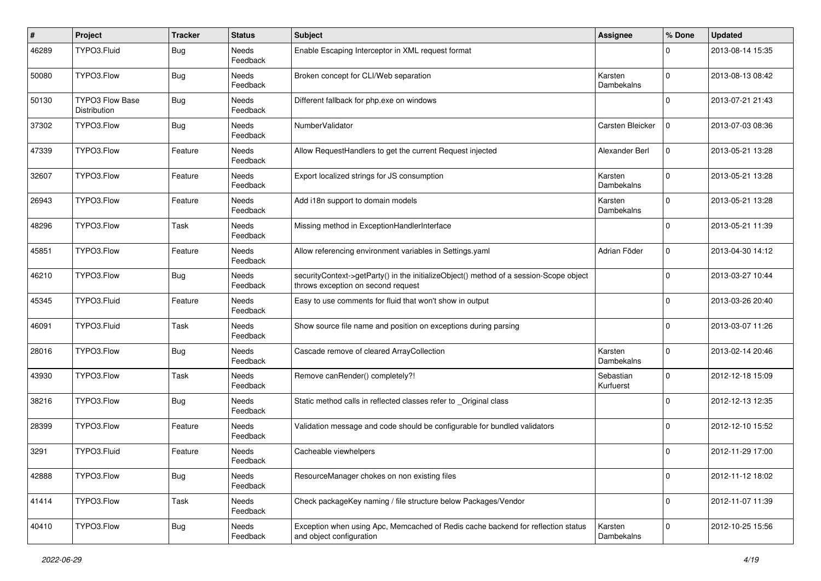| #     | Project                         | <b>Tracker</b> | <b>Status</b>            | <b>Subject</b>                                                                                                               | <b>Assignee</b>        | % Done      | <b>Updated</b>   |
|-------|---------------------------------|----------------|--------------------------|------------------------------------------------------------------------------------------------------------------------------|------------------------|-------------|------------------|
| 46289 | TYPO3.Fluid                     | Bug            | <b>Needs</b><br>Feedback | Enable Escaping Interceptor in XML request format                                                                            |                        | $\Omega$    | 2013-08-14 15:35 |
| 50080 | TYPO3.Flow                      | Bug            | Needs<br>Feedback        | Broken concept for CLI/Web separation                                                                                        | Karsten<br>Dambekalns  | $\mathbf 0$ | 2013-08-13 08:42 |
| 50130 | TYPO3 Flow Base<br>Distribution | <b>Bug</b>     | Needs<br>Feedback        | Different fallback for php.exe on windows                                                                                    |                        | $\Omega$    | 2013-07-21 21:43 |
| 37302 | TYPO3.Flow                      | <b>Bug</b>     | <b>Needs</b><br>Feedback | NumberValidator                                                                                                              | Carsten Bleicker       | $\mathbf 0$ | 2013-07-03 08:36 |
| 47339 | TYPO3.Flow                      | Feature        | Needs<br>Feedback        | Allow RequestHandlers to get the current Request injected                                                                    | Alexander Berl         | $\mathbf 0$ | 2013-05-21 13:28 |
| 32607 | TYPO3.Flow                      | Feature        | Needs<br>Feedback        | Export localized strings for JS consumption                                                                                  | Karsten<br>Dambekalns  | $\mathbf 0$ | 2013-05-21 13:28 |
| 26943 | TYPO3.Flow                      | Feature        | Needs<br>Feedback        | Add i18n support to domain models                                                                                            | Karsten<br>Dambekalns  | $\mathbf 0$ | 2013-05-21 13:28 |
| 48296 | TYPO3.Flow                      | Task           | Needs<br>Feedback        | Missing method in ExceptionHandlerInterface                                                                                  |                        | $\Omega$    | 2013-05-21 11:39 |
| 45851 | TYPO3.Flow                      | Feature        | Needs<br>Feedback        | Allow referencing environment variables in Settings.yaml                                                                     | Adrian Föder           | $\mathbf 0$ | 2013-04-30 14:12 |
| 46210 | TYPO3.Flow                      | Bug            | Needs<br>Feedback        | securityContext->getParty() in the initializeObject() method of a session-Scope object<br>throws exception on second request |                        | 0           | 2013-03-27 10:44 |
| 45345 | TYPO3.Fluid                     | Feature        | <b>Needs</b><br>Feedback | Easy to use comments for fluid that won't show in output                                                                     |                        | $\Omega$    | 2013-03-26 20:40 |
| 46091 | TYPO3.Fluid                     | Task           | Needs<br>Feedback        | Show source file name and position on exceptions during parsing                                                              |                        | $\Omega$    | 2013-03-07 11:26 |
| 28016 | TYPO3.Flow                      | Bug            | Needs<br>Feedback        | Cascade remove of cleared ArrayCollection                                                                                    | Karsten<br>Dambekalns  | $\mathbf 0$ | 2013-02-14 20:46 |
| 43930 | TYPO3.Flow                      | Task           | <b>Needs</b><br>Feedback | Remove canRender() completely?!                                                                                              | Sebastian<br>Kurfuerst | $\mathbf 0$ | 2012-12-18 15:09 |
| 38216 | TYPO3.Flow                      | <b>Bug</b>     | Needs<br>Feedback        | Static method calls in reflected classes refer to _Original class                                                            |                        | $\Omega$    | 2012-12-13 12:35 |
| 28399 | TYPO3.Flow                      | Feature        | Needs<br>Feedback        | Validation message and code should be configurable for bundled validators                                                    |                        | 0           | 2012-12-10 15:52 |
| 3291  | TYPO3.Fluid                     | Feature        | Needs<br>Feedback        | Cacheable viewhelpers                                                                                                        |                        | $\Omega$    | 2012-11-29 17:00 |
| 42888 | TYPO3.Flow                      | <b>Bug</b>     | Needs<br>Feedback        | ResourceManager chokes on non existing files                                                                                 |                        | $\mathbf 0$ | 2012-11-12 18:02 |
| 41414 | TYPO3.Flow                      | Task           | Needs<br>Feedback        | Check packageKey naming / file structure below Packages/Vendor                                                               |                        | $\mathbf 0$ | 2012-11-07 11:39 |
| 40410 | TYPO3.Flow                      | <b>Bug</b>     | Needs<br>Feedback        | Exception when using Apc, Memcached of Redis cache backend for reflection status<br>and object configuration                 | Karsten<br>Dambekalns  | $\mathbf 0$ | 2012-10-25 15:56 |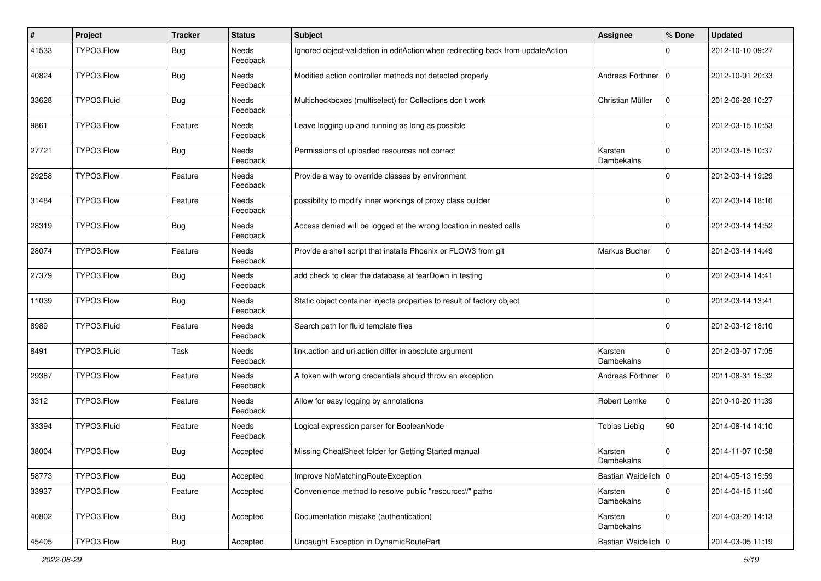| $\vert$ # | Project     | Tracker    | <b>Status</b>            | <b>Subject</b>                                                                  | <b>Assignee</b>       | % Done         | <b>Updated</b>   |
|-----------|-------------|------------|--------------------------|---------------------------------------------------------------------------------|-----------------------|----------------|------------------|
| 41533     | TYPO3.Flow  | <b>Bug</b> | <b>Needs</b><br>Feedback | Ignored object-validation in editAction when redirecting back from updateAction |                       | 0              | 2012-10-10 09:27 |
| 40824     | TYPO3.Flow  | Bug        | Needs<br>Feedback        | Modified action controller methods not detected properly                        | Andreas Förthner   0  |                | 2012-10-01 20:33 |
| 33628     | TYPO3.Fluid | <b>Bug</b> | Needs<br>Feedback        | Multicheckboxes (multiselect) for Collections don't work                        | Christian Müller      | $\mathbf 0$    | 2012-06-28 10:27 |
| 9861      | TYPO3.Flow  | Feature    | Needs<br>Feedback        | Leave logging up and running as long as possible                                |                       | $\overline{0}$ | 2012-03-15 10:53 |
| 27721     | TYPO3.Flow  | <b>Bug</b> | Needs<br>Feedback        | Permissions of uploaded resources not correct                                   | Karsten<br>Dambekalns | 0              | 2012-03-15 10:37 |
| 29258     | TYPO3.Flow  | Feature    | Needs<br>Feedback        | Provide a way to override classes by environment                                |                       | $\Omega$       | 2012-03-14 19:29 |
| 31484     | TYPO3.Flow  | Feature    | <b>Needs</b><br>Feedback | possibility to modify inner workings of proxy class builder                     |                       | $\Omega$       | 2012-03-14 18:10 |
| 28319     | TYPO3.Flow  | <b>Bug</b> | Needs<br>Feedback        | Access denied will be logged at the wrong location in nested calls              |                       | $\Omega$       | 2012-03-14 14:52 |
| 28074     | TYPO3.Flow  | Feature    | Needs<br>Feedback        | Provide a shell script that installs Phoenix or FLOW3 from git                  | Markus Bucher         | 0              | 2012-03-14 14:49 |
| 27379     | TYPO3.Flow  | <b>Bug</b> | Needs<br>Feedback        | add check to clear the database at tearDown in testing                          |                       | $\Omega$       | 2012-03-14 14:41 |
| 11039     | TYPO3.Flow  | <b>Bug</b> | Needs<br>Feedback        | Static object container injects properties to result of factory object          |                       | $\Omega$       | 2012-03-14 13:41 |
| 8989      | TYPO3.Fluid | Feature    | Needs<br>Feedback        | Search path for fluid template files                                            |                       | $\Omega$       | 2012-03-12 18:10 |
| 8491      | TYPO3.Fluid | Task       | Needs<br>Feedback        | link.action and uri.action differ in absolute argument                          | Karsten<br>Dambekalns | $\Omega$       | 2012-03-07 17:05 |
| 29387     | TYPO3.Flow  | Feature    | <b>Needs</b><br>Feedback | A token with wrong credentials should throw an exception                        | Andreas Förthner   0  |                | 2011-08-31 15:32 |
| 3312      | TYPO3.Flow  | Feature    | Needs<br>Feedback        | Allow for easy logging by annotations                                           | Robert Lemke          | $\Omega$       | 2010-10-20 11:39 |
| 33394     | TYPO3.Fluid | Feature    | Needs<br>Feedback        | Logical expression parser for BooleanNode                                       | <b>Tobias Liebig</b>  | 90             | 2014-08-14 14:10 |
| 38004     | TYPO3.Flow  | <b>Bug</b> | Accepted                 | Missing CheatSheet folder for Getting Started manual                            | Karsten<br>Dambekalns | $\Omega$       | 2014-11-07 10:58 |
| 58773     | TYPO3.Flow  | <b>Bug</b> | Accepted                 | Improve NoMatchingRouteException                                                | Bastian Waidelich 0   |                | 2014-05-13 15:59 |
| 33937     | TYPO3.Flow  | Feature    | Accepted                 | Convenience method to resolve public "resource://" paths                        | Karsten<br>Dambekalns | $\mathbf 0$    | 2014-04-15 11:40 |
| 40802     | TYPO3.Flow  | Bug        | Accepted                 | Documentation mistake (authentication)                                          | Karsten<br>Dambekalns | $\mathbf 0$    | 2014-03-20 14:13 |
| 45405     | TYPO3.Flow  | Bug        | Accepted                 | Uncaught Exception in DynamicRoutePart                                          | Bastian Waidelich   0 |                | 2014-03-05 11:19 |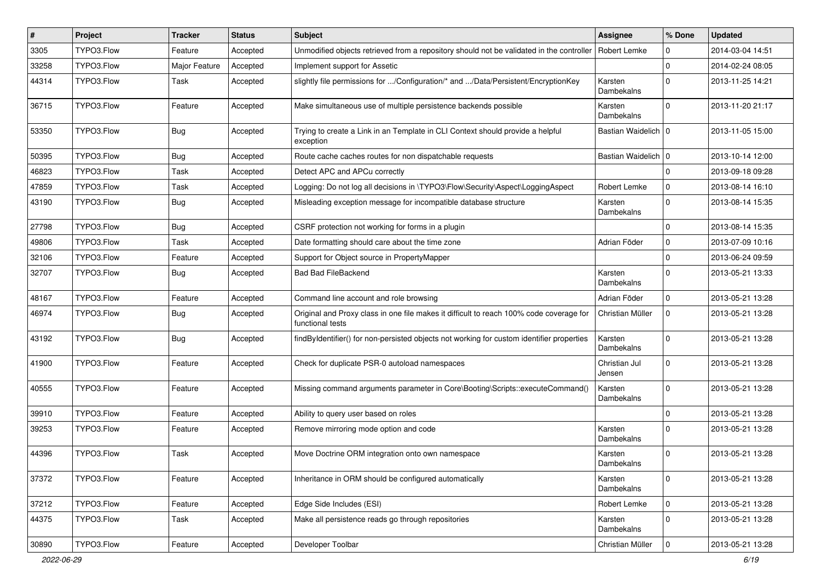| #     | Project    | <b>Tracker</b> | <b>Status</b> | Subject                                                                                                     | <b>Assignee</b>         | % Done         | <b>Updated</b>   |
|-------|------------|----------------|---------------|-------------------------------------------------------------------------------------------------------------|-------------------------|----------------|------------------|
| 3305  | TYPO3.Flow | Feature        | Accepted      | Unmodified objects retrieved from a repository should not be validated in the controller                    | Robert Lemke            | 0              | 2014-03-04 14:51 |
| 33258 | TYPO3.Flow | Major Feature  | Accepted      | Implement support for Assetic                                                                               |                         | $\mathbf 0$    | 2014-02-24 08:05 |
| 44314 | TYPO3.Flow | Task           | Accepted      | slightly file permissions for /Configuration/* and /Data/Persistent/EncryptionKey                           | Karsten<br>Dambekalns   | $\Omega$       | 2013-11-25 14:21 |
| 36715 | TYPO3.Flow | Feature        | Accepted      | Make simultaneous use of multiple persistence backends possible                                             | Karsten<br>Dambekalns   | $\Omega$       | 2013-11-20 21:17 |
| 53350 | TYPO3.Flow | <b>Bug</b>     | Accepted      | Trying to create a Link in an Template in CLI Context should provide a helpful<br>exception                 | Bastian Waidelich   0   |                | 2013-11-05 15:00 |
| 50395 | TYPO3.Flow | Bug            | Accepted      | Route cache caches routes for non dispatchable requests                                                     | Bastian Waidelich   0   |                | 2013-10-14 12:00 |
| 46823 | TYPO3.Flow | Task           | Accepted      | Detect APC and APCu correctly                                                                               |                         | $\mathbf 0$    | 2013-09-18 09:28 |
| 47859 | TYPO3.Flow | Task           | Accepted      | Logging: Do not log all decisions in \TYPO3\Flow\Security\Aspect\LoggingAspect                              | Robert Lemke            | 0              | 2013-08-14 16:10 |
| 43190 | TYPO3.Flow | Bug            | Accepted      | Misleading exception message for incompatible database structure                                            | Karsten<br>Dambekalns   | $\Omega$       | 2013-08-14 15:35 |
| 27798 | TYPO3.Flow | Bug            | Accepted      | CSRF protection not working for forms in a plugin                                                           |                         | $\mathbf 0$    | 2013-08-14 15:35 |
| 49806 | TYPO3.Flow | Task           | Accepted      | Date formatting should care about the time zone                                                             | Adrian Föder            | $\mathbf 0$    | 2013-07-09 10:16 |
| 32106 | TYPO3.Flow | Feature        | Accepted      | Support for Object source in PropertyMapper                                                                 |                         | $\mathbf 0$    | 2013-06-24 09:59 |
| 32707 | TYPO3.Flow | Bug            | Accepted      | <b>Bad Bad FileBackend</b>                                                                                  | Karsten<br>Dambekalns   | $\Omega$       | 2013-05-21 13:33 |
| 48167 | TYPO3.Flow | Feature        | Accepted      | Command line account and role browsing                                                                      | Adrian Föder            | $\mathbf 0$    | 2013-05-21 13:28 |
| 46974 | TYPO3.Flow | Bug            | Accepted      | Original and Proxy class in one file makes it difficult to reach 100% code coverage for<br>functional tests | Christian Müller        | $\mathbf 0$    | 2013-05-21 13:28 |
| 43192 | TYPO3.Flow | Bug            | Accepted      | findByldentifier() for non-persisted objects not working for custom identifier properties                   | Karsten<br>Dambekalns   | $\Omega$       | 2013-05-21 13:28 |
| 41900 | TYPO3.Flow | Feature        | Accepted      | Check for duplicate PSR-0 autoload namespaces                                                               | Christian Jul<br>Jensen | $\mathbf 0$    | 2013-05-21 13:28 |
| 40555 | TYPO3.Flow | Feature        | Accepted      | Missing command arguments parameter in Core\Booting\Scripts::executeCommand()                               | Karsten<br>Dambekalns   | $\Omega$       | 2013-05-21 13:28 |
| 39910 | TYPO3.Flow | Feature        | Accepted      | Ability to query user based on roles                                                                        |                         | $\Omega$       | 2013-05-21 13:28 |
| 39253 | TYPO3.Flow | Feature        | Accepted      | Remove mirroring mode option and code                                                                       | Karsten<br>Dambekalns   | $\Omega$       | 2013-05-21 13:28 |
| 44396 | TYPO3.Flow | Task           | Accepted      | Move Doctrine ORM integration onto own namespace                                                            | Karsten<br>Dambekalns   | $\Omega$       | 2013-05-21 13:28 |
| 37372 | TYPO3.Flow | Feature        | Accepted      | Inheritance in ORM should be configured automatically                                                       | Karsten<br>Dambekalns   | $\mathsf{O}$   | 2013-05-21 13:28 |
| 37212 | TYPO3.Flow | Feature        | Accepted      | Edge Side Includes (ESI)                                                                                    | Robert Lemke            | 0              | 2013-05-21 13:28 |
| 44375 | TYPO3.Flow | Task           | Accepted      | Make all persistence reads go through repositories                                                          | Karsten<br>Dambekalns   | 0              | 2013-05-21 13:28 |
| 30890 | TYPO3.Flow | Feature        | Accepted      | Developer Toolbar                                                                                           | Christian Müller        | $\overline{0}$ | 2013-05-21 13:28 |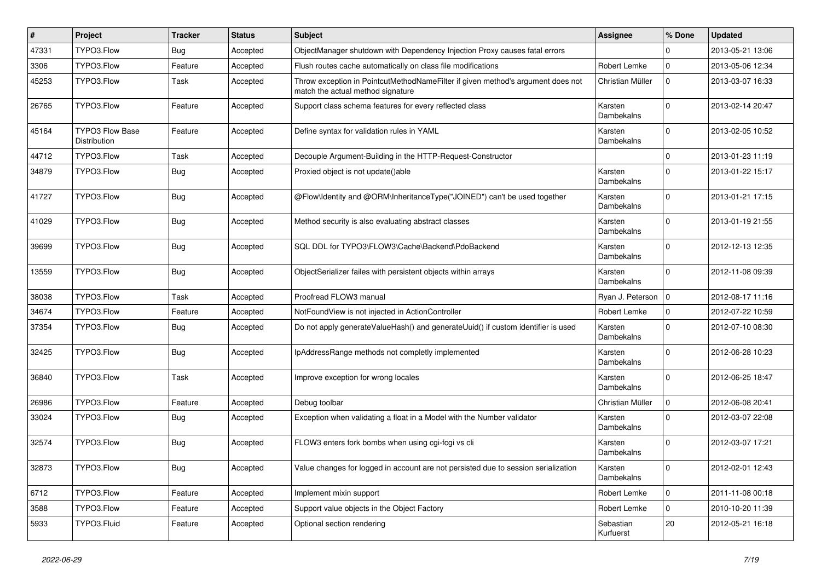| #     | Project                         | <b>Tracker</b> | <b>Status</b> | Subject                                                                                                              | <b>Assignee</b>        | % Done      | <b>Updated</b>   |
|-------|---------------------------------|----------------|---------------|----------------------------------------------------------------------------------------------------------------------|------------------------|-------------|------------------|
| 47331 | TYPO3.Flow                      | Bug            | Accepted      | ObjectManager shutdown with Dependency Injection Proxy causes fatal errors                                           |                        | $\Omega$    | 2013-05-21 13:06 |
| 3306  | TYPO3.Flow                      | Feature        | Accepted      | Flush routes cache automatically on class file modifications                                                         | Robert Lemke           | $\mathbf 0$ | 2013-05-06 12:34 |
| 45253 | TYPO3.Flow                      | Task           | Accepted      | Throw exception in PointcutMethodNameFilter if given method's argument does not<br>match the actual method signature | Christian Müller       | $\mathbf 0$ | 2013-03-07 16:33 |
| 26765 | TYPO3.Flow                      | Feature        | Accepted      | Support class schema features for every reflected class                                                              | Karsten<br>Dambekalns  | $\Omega$    | 2013-02-14 20:47 |
| 45164 | TYPO3 Flow Base<br>Distribution | Feature        | Accepted      | Define syntax for validation rules in YAML                                                                           | Karsten<br>Dambekalns  | $\Omega$    | 2013-02-05 10:52 |
| 44712 | TYPO3.Flow                      | Task           | Accepted      | Decouple Argument-Building in the HTTP-Request-Constructor                                                           |                        | $\Omega$    | 2013-01-23 11:19 |
| 34879 | TYPO3.Flow                      | <b>Bug</b>     | Accepted      | Proxied object is not update()able                                                                                   | Karsten<br>Dambekalns  | $\Omega$    | 2013-01-22 15:17 |
| 41727 | TYPO3.Flow                      | Bug            | Accepted      | @Flow\ldentity and @ORM\InheritanceType("JOINED") can't be used together                                             | Karsten<br>Dambekalns  | $\Omega$    | 2013-01-21 17:15 |
| 41029 | TYPO3.Flow                      | Bug            | Accepted      | Method security is also evaluating abstract classes                                                                  | Karsten<br>Dambekalns  | $\Omega$    | 2013-01-19 21:55 |
| 39699 | TYPO3.Flow                      | Bug            | Accepted      | SQL DDL for TYPO3\FLOW3\Cache\Backend\PdoBackend                                                                     | Karsten<br>Dambekalns  | $\Omega$    | 2012-12-13 12:35 |
| 13559 | TYPO3.Flow                      | Bug            | Accepted      | ObjectSerializer failes with persistent objects within arrays                                                        | Karsten<br>Dambekalns  | $\Omega$    | 2012-11-08 09:39 |
| 38038 | TYPO3.Flow                      | Task           | Accepted      | Proofread FLOW3 manual                                                                                               | Ryan J. Peterson       | $\mathbf 0$ | 2012-08-17 11:16 |
| 34674 | TYPO3.Flow                      | Feature        | Accepted      | NotFoundView is not injected in ActionController                                                                     | Robert Lemke           | $\mathbf 0$ | 2012-07-22 10:59 |
| 37354 | TYPO3.Flow                      | Bug            | Accepted      | Do not apply generateValueHash() and generateUuid() if custom identifier is used                                     | Karsten<br>Dambekalns  | $\Omega$    | 2012-07-10 08:30 |
| 32425 | TYPO3.Flow                      | Bug            | Accepted      | IpAddressRange methods not completly implemented                                                                     | Karsten<br>Dambekalns  | $\Omega$    | 2012-06-28 10:23 |
| 36840 | TYPO3.Flow                      | Task           | Accepted      | Improve exception for wrong locales                                                                                  | Karsten<br>Dambekalns  | $\Omega$    | 2012-06-25 18:47 |
| 26986 | TYPO3.Flow                      | Feature        | Accepted      | Debug toolbar                                                                                                        | Christian Müller       | $\mathbf 0$ | 2012-06-08 20:41 |
| 33024 | TYPO3.Flow                      | <b>Bug</b>     | Accepted      | Exception when validating a float in a Model with the Number validator                                               | Karsten<br>Dambekalns  | $\Omega$    | 2012-03-07 22:08 |
| 32574 | TYPO3.Flow                      | <b>Bug</b>     | Accepted      | FLOW3 enters fork bombs when using cgi-fcgi vs cli                                                                   | Karsten<br>Dambekalns  | $\Omega$    | 2012-03-07 17:21 |
| 32873 | TYPO3.Flow                      | <b>Bug</b>     | Accepted      | Value changes for logged in account are not persisted due to session serialization                                   | Karsten<br>Dambekalns  | 0           | 2012-02-01 12:43 |
| 6712  | TYPO3.Flow                      | Feature        | Accepted      | Implement mixin support                                                                                              | Robert Lemke           | $\mathbf 0$ | 2011-11-08 00:18 |
| 3588  | TYPO3.Flow                      | Feature        | Accepted      | Support value objects in the Object Factory                                                                          | Robert Lemke           | $\mathbf 0$ | 2010-10-20 11:39 |
| 5933  | TYPO3.Fluid                     | Feature        | Accepted      | Optional section rendering                                                                                           | Sebastian<br>Kurfuerst | 20          | 2012-05-21 16:18 |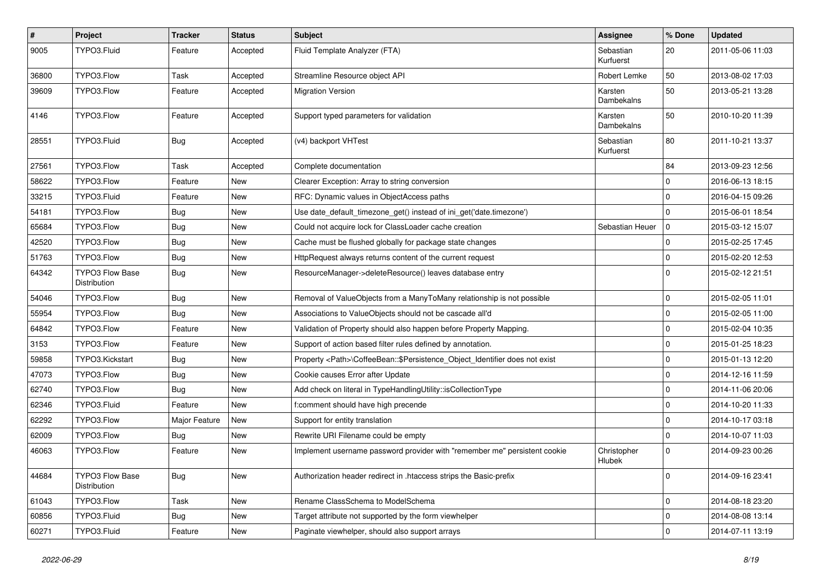| $\sharp$ | Project                                | <b>Tracker</b> | <b>Status</b> | Subject                                                                            | <b>Assignee</b>        | % Done      | <b>Updated</b>   |
|----------|----------------------------------------|----------------|---------------|------------------------------------------------------------------------------------|------------------------|-------------|------------------|
| 9005     | TYPO3.Fluid                            | Feature        | Accepted      | Fluid Template Analyzer (FTA)                                                      | Sebastian<br>Kurfuerst | 20          | 2011-05-06 11:03 |
| 36800    | TYPO3.Flow                             | Task           | Accepted      | Streamline Resource object API                                                     | Robert Lemke           | 50          | 2013-08-02 17:03 |
| 39609    | TYPO3.Flow                             | Feature        | Accepted      | <b>Migration Version</b>                                                           | Karsten<br>Dambekalns  | 50          | 2013-05-21 13:28 |
| 4146     | TYPO3.Flow                             | Feature        | Accepted      | Support typed parameters for validation                                            | Karsten<br>Dambekalns  | 50          | 2010-10-20 11:39 |
| 28551    | TYPO3.Fluid                            | Bug            | Accepted      | (v4) backport VHTest                                                               | Sebastian<br>Kurfuerst | 80          | 2011-10-21 13:37 |
| 27561    | TYPO3.Flow                             | Task           | Accepted      | Complete documentation                                                             |                        | 84          | 2013-09-23 12:56 |
| 58622    | TYPO3.Flow                             | Feature        | <b>New</b>    | Clearer Exception: Array to string conversion                                      |                        | $\mathbf 0$ | 2016-06-13 18:15 |
| 33215    | TYPO3.Fluid                            | Feature        | <b>New</b>    | RFC: Dynamic values in ObjectAccess paths                                          |                        | $\mathbf 0$ | 2016-04-15 09:26 |
| 54181    | TYPO3.Flow                             | Bug            | <b>New</b>    | Use date_default_timezone_get() instead of ini_get('date.timezone')                |                        | $\mathbf 0$ | 2015-06-01 18:54 |
| 65684    | TYPO3.Flow                             | Bug            | New           | Could not acquire lock for ClassLoader cache creation                              | Sebastian Heuer        | $\mathbf 0$ | 2015-03-12 15:07 |
| 42520    | TYPO3.Flow                             | Bug            | <b>New</b>    | Cache must be flushed globally for package state changes                           |                        | $\mathbf 0$ | 2015-02-25 17:45 |
| 51763    | TYPO3.Flow                             | Bug            | New           | HttpRequest always returns content of the current request                          |                        | $\mathbf 0$ | 2015-02-20 12:53 |
| 64342    | <b>TYPO3 Flow Base</b><br>Distribution | Bug            | <b>New</b>    | ResourceManager->deleteResource() leaves database entry                            |                        | $\Omega$    | 2015-02-12 21:51 |
| 54046    | TYPO3.Flow                             | Bug            | <b>New</b>    | Removal of ValueObjects from a ManyToMany relationship is not possible             |                        | $\mathbf 0$ | 2015-02-05 11:01 |
| 55954    | TYPO3.Flow                             | Bug            | <b>New</b>    | Associations to ValueObjects should not be cascade all'd                           |                        | $\mathbf 0$ | 2015-02-05 11:00 |
| 64842    | TYPO3.Flow                             | Feature        | <b>New</b>    | Validation of Property should also happen before Property Mapping.                 |                        | $\mathbf 0$ | 2015-02-04 10:35 |
| 3153     | TYPO3.Flow                             | Feature        | <b>New</b>    | Support of action based filter rules defined by annotation.                        |                        | $\mathbf 0$ | 2015-01-25 18:23 |
| 59858    | TYPO3.Kickstart                        | Bug            | <b>New</b>    | Property <path>\CoffeeBean:: \$Persistence_Object_Identifier does not exist</path> |                        | $\mathbf 0$ | 2015-01-13 12:20 |
| 47073    | TYPO3.Flow                             | Bug            | New           | Cookie causes Error after Update                                                   |                        | $\mathbf 0$ | 2014-12-16 11:59 |
| 62740    | TYPO3.Flow                             | Bug            | New           | Add check on literal in TypeHandlingUtility::isCollectionType                      |                        | $\mathbf 0$ | 2014-11-06 20:06 |
| 62346    | TYPO3.Fluid                            | Feature        | <b>New</b>    | f:comment should have high precende                                                |                        | $\mathbf 0$ | 2014-10-20 11:33 |
| 62292    | TYPO3.Flow                             | Major Feature  | New           | Support for entity translation                                                     |                        | $\mathbf 0$ | 2014-10-17 03:18 |
| 62009    | TYPO3.Flow                             | Bug            | <b>New</b>    | Rewrite URI Filename could be empty                                                |                        | $\mathbf 0$ | 2014-10-07 11:03 |
| 46063    | TYPO3.Flow                             | Feature        | <b>New</b>    | Implement username password provider with "remember me" persistent cookie          | Christopher<br>Hlubek  | 0           | 2014-09-23 00:26 |
| 44684    | TYPO3 Flow Base<br>Distribution        | <b>Bug</b>     | New           | Authorization header redirect in .htaccess strips the Basic-prefix                 |                        | $\mathbf 0$ | 2014-09-16 23:41 |
| 61043    | TYPO3.Flow                             | Task           | New           | Rename ClassSchema to ModelSchema                                                  |                        | $\mathbf 0$ | 2014-08-18 23:20 |
| 60856    | TYPO3.Fluid                            | Bug            | New           | Target attribute not supported by the form viewhelper                              |                        | 0           | 2014-08-08 13:14 |
| 60271    | TYPO3.Fluid                            | Feature        | New           | Paginate viewhelper, should also support arrays                                    |                        | $\pmb{0}$   | 2014-07-11 13:19 |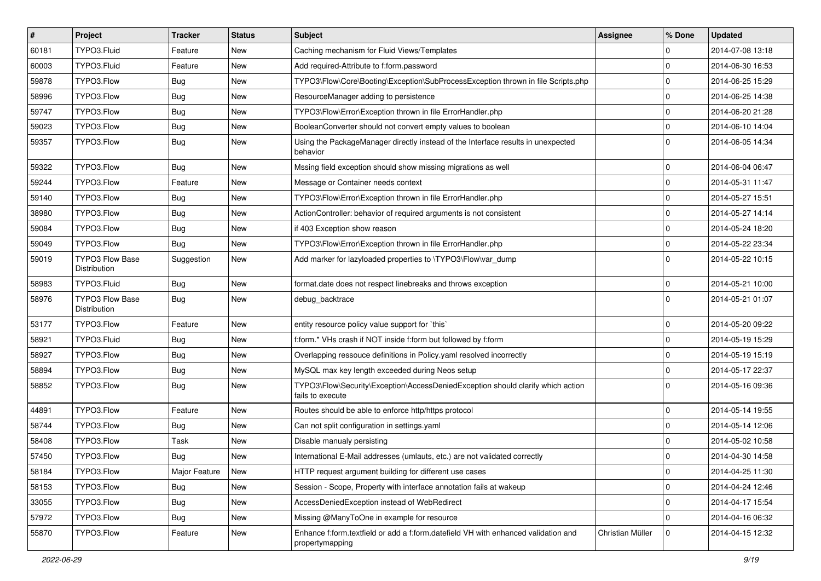| #     | Project                                | <b>Tracker</b> | <b>Status</b> | Subject                                                                                               | <b>Assignee</b>  | % Done      | <b>Updated</b>   |
|-------|----------------------------------------|----------------|---------------|-------------------------------------------------------------------------------------------------------|------------------|-------------|------------------|
| 60181 | TYPO3.Fluid                            | Feature        | <b>New</b>    | Caching mechanism for Fluid Views/Templates                                                           |                  | 0           | 2014-07-08 13:18 |
| 60003 | TYPO3.Fluid                            | Feature        | <b>New</b>    | Add required-Attribute to f:form.password                                                             |                  | $\mathbf 0$ | 2014-06-30 16:53 |
| 59878 | TYPO3.Flow                             | <b>Bug</b>     | <b>New</b>    | TYPO3\Flow\Core\Booting\Exception\SubProcessException thrown in file Scripts.php                      |                  | $\mathbf 0$ | 2014-06-25 15:29 |
| 58996 | TYPO3.Flow                             | <b>Bug</b>     | <b>New</b>    | ResourceManager adding to persistence                                                                 |                  | $\mathbf 0$ | 2014-06-25 14:38 |
| 59747 | TYPO3.Flow                             | Bug            | <b>New</b>    | TYPO3\Flow\Error\Exception thrown in file ErrorHandler.php                                            |                  | $\mathbf 0$ | 2014-06-20 21:28 |
| 59023 | TYPO3.Flow                             | Bug            | <b>New</b>    | BooleanConverter should not convert empty values to boolean                                           |                  | $\mathbf 0$ | 2014-06-10 14:04 |
| 59357 | TYPO3.Flow                             | Bug            | New           | Using the PackageManager directly instead of the Interface results in unexpected<br>behavior          |                  | $\Omega$    | 2014-06-05 14:34 |
| 59322 | TYPO3.Flow                             | Bug            | <b>New</b>    | Mssing field exception should show missing migrations as well                                         |                  | $\mathbf 0$ | 2014-06-04 06:47 |
| 59244 | TYPO3.Flow                             | Feature        | <b>New</b>    | Message or Container needs context                                                                    |                  | $\mathbf 0$ | 2014-05-31 11:47 |
| 59140 | TYPO3.Flow                             | <b>Bug</b>     | <b>New</b>    | TYPO3\Flow\Error\Exception thrown in file ErrorHandler.php                                            |                  | $\mathbf 0$ | 2014-05-27 15:51 |
| 38980 | TYPO3.Flow                             | <b>Bug</b>     | <b>New</b>    | ActionController: behavior of required arguments is not consistent                                    |                  | $\mathbf 0$ | 2014-05-27 14:14 |
| 59084 | TYPO3.Flow                             | Bug            | <b>New</b>    | if 403 Exception show reason                                                                          |                  | 0           | 2014-05-24 18:20 |
| 59049 | TYPO3.Flow                             | Bug            | <b>New</b>    | TYPO3\Flow\Error\Exception thrown in file ErrorHandler.php                                            |                  | $\mathbf 0$ | 2014-05-22 23:34 |
| 59019 | TYPO3 Flow Base<br><b>Distribution</b> | Suggestion     | <b>New</b>    | Add marker for lazyloaded properties to \TYPO3\Flow\var_dump                                          |                  | $\Omega$    | 2014-05-22 10:15 |
| 58983 | TYPO3.Fluid                            | Bug            | <b>New</b>    | format.date does not respect linebreaks and throws exception                                          |                  | $\mathbf 0$ | 2014-05-21 10:00 |
| 58976 | <b>TYPO3 Flow Base</b><br>Distribution | Bug            | <b>New</b>    | debug_backtrace                                                                                       |                  | $\Omega$    | 2014-05-21 01:07 |
| 53177 | TYPO3.Flow                             | Feature        | <b>New</b>    | entity resource policy value support for `this`                                                       |                  | $\mathbf 0$ | 2014-05-20 09:22 |
| 58921 | TYPO3.Fluid                            | Bug            | <b>New</b>    | f:form.* VHs crash if NOT inside f:form but followed by f:form                                        |                  | $\mathbf 0$ | 2014-05-19 15:29 |
| 58927 | TYPO3.Flow                             | Bug            | <b>New</b>    | Overlapping ressouce definitions in Policy yaml resolved incorrectly                                  |                  | $\mathbf 0$ | 2014-05-19 15:19 |
| 58894 | TYPO3.Flow                             | Bug            | <b>New</b>    | MySQL max key length exceeded during Neos setup                                                       |                  | $\mathbf 0$ | 2014-05-17 22:37 |
| 58852 | TYPO3.Flow                             | Bug            | <b>New</b>    | TYPO3\Flow\Security\Exception\AccessDeniedException should clarify which action<br>fails to execute   |                  | $\Omega$    | 2014-05-16 09:36 |
| 44891 | TYPO3.Flow                             | Feature        | <b>New</b>    | Routes should be able to enforce http/https protocol                                                  |                  | $\mathbf 0$ | 2014-05-14 19:55 |
| 58744 | TYPO3.Flow                             | Bug            | <b>New</b>    | Can not split configuration in settings.yaml                                                          |                  | $\mathbf 0$ | 2014-05-14 12:06 |
| 58408 | TYPO3.Flow                             | Task           | <b>New</b>    | Disable manualy persisting                                                                            |                  | $\mathbf 0$ | 2014-05-02 10:58 |
| 57450 | TYPO3.Flow                             | Bug            | <b>New</b>    | International E-Mail addresses (umlauts, etc.) are not validated correctly                            |                  | 0           | 2014-04-30 14:58 |
| 58184 | TYPO3.Flow                             | Major Feature  | New           | HTTP request argument building for different use cases                                                |                  | 0           | 2014-04-25 11:30 |
| 58153 | TYPO3.Flow                             | Bug            | New           | Session - Scope, Property with interface annotation fails at wakeup                                   |                  | 0           | 2014-04-24 12:46 |
| 33055 | TYPO3.Flow                             | Bug            | New           | AccessDeniedException instead of WebRedirect                                                          |                  | $\mathbf 0$ | 2014-04-17 15:54 |
| 57972 | TYPO3.Flow                             | <b>Bug</b>     | New           | Missing @ManyToOne in example for resource                                                            |                  | 0           | 2014-04-16 06:32 |
| 55870 | TYPO3.Flow                             | Feature        | New           | Enhance f:form.textfield or add a f:form.datefield VH with enhanced validation and<br>propertymapping | Christian Müller | 0           | 2014-04-15 12:32 |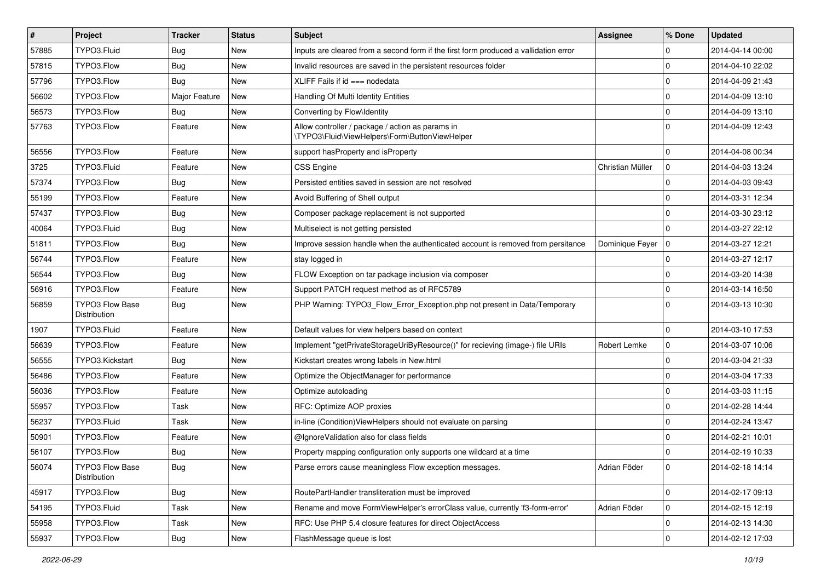| #     | Project                                | <b>Tracker</b> | <b>Status</b> | <b>Subject</b>                                                                                     | <b>Assignee</b>   | % Done      | <b>Updated</b>   |
|-------|----------------------------------------|----------------|---------------|----------------------------------------------------------------------------------------------------|-------------------|-------------|------------------|
| 57885 | TYPO3.Fluid                            | Bug            | <b>New</b>    | Inputs are cleared from a second form if the first form produced a vallidation error               |                   | 0           | 2014-04-14 00:00 |
| 57815 | TYPO3.Flow                             | Bug            | <b>New</b>    | Invalid resources are saved in the persistent resources folder                                     |                   | $\mathbf 0$ | 2014-04-10 22:02 |
| 57796 | TYPO3.Flow                             | Bug            | <b>New</b>    | XLIFF Fails if $id ==$ nodedata                                                                    |                   | $\mathbf 0$ | 2014-04-09 21:43 |
| 56602 | TYPO3.Flow                             | Major Feature  | New           | Handling Of Multi Identity Entities                                                                |                   | $\mathbf 0$ | 2014-04-09 13:10 |
| 56573 | TYPO3.Flow                             | <b>Bug</b>     | <b>New</b>    | Converting by Flow\Identity                                                                        |                   | 0           | 2014-04-09 13:10 |
| 57763 | TYPO3.Flow                             | Feature        | <b>New</b>    | Allow controller / package / action as params in<br>\TYPO3\Fluid\ViewHelpers\Form\ButtonViewHelper |                   | $\Omega$    | 2014-04-09 12:43 |
| 56556 | TYPO3.Flow                             | Feature        | <b>New</b>    | support has Property and is Property                                                               |                   | $\mathbf 0$ | 2014-04-08 00:34 |
| 3725  | TYPO3.Fluid                            | Feature        | <b>New</b>    | <b>CSS Engine</b>                                                                                  | Christian Müller  | $\mathbf 0$ | 2014-04-03 13:24 |
| 57374 | TYPO3.Flow                             | Bug            | <b>New</b>    | Persisted entities saved in session are not resolved                                               |                   | $\mathbf 0$ | 2014-04-03 09:43 |
| 55199 | TYPO3.Flow                             | Feature        | <b>New</b>    | Avoid Buffering of Shell output                                                                    |                   | $\mathbf 0$ | 2014-03-31 12:34 |
| 57437 | TYPO3.Flow                             | Bug            | New           | Composer package replacement is not supported                                                      |                   | $\mathbf 0$ | 2014-03-30 23:12 |
| 40064 | TYPO3.Fluid                            | Bug            | <b>New</b>    | Multiselect is not getting persisted                                                               |                   | $\mathbf 0$ | 2014-03-27 22:12 |
| 51811 | TYPO3.Flow                             | Bug            | <b>New</b>    | Improve session handle when the authenticated account is removed from persitance                   | Dominique Feyer 0 |             | 2014-03-27 12:21 |
| 56744 | TYPO3.Flow                             | Feature        | <b>New</b>    | stay logged in                                                                                     |                   | $\mathbf 0$ | 2014-03-27 12:17 |
| 56544 | TYPO3.Flow                             | <b>Bug</b>     | New           | FLOW Exception on tar package inclusion via composer                                               |                   | $\mathbf 0$ | 2014-03-20 14:38 |
| 56916 | TYPO3.Flow                             | Feature        | <b>New</b>    | Support PATCH request method as of RFC5789                                                         |                   | $\mathbf 0$ | 2014-03-14 16:50 |
| 56859 | <b>TYPO3 Flow Base</b><br>Distribution | Bug            | <b>New</b>    | PHP Warning: TYPO3 Flow Error Exception.php not present in Data/Temporary                          |                   | $\Omega$    | 2014-03-13 10:30 |
| 1907  | TYPO3.Fluid                            | Feature        | <b>New</b>    | Default values for view helpers based on context                                                   |                   | $\mathbf 0$ | 2014-03-10 17:53 |
| 56639 | TYPO3.Flow                             | Feature        | <b>New</b>    | Implement "getPrivateStorageUriByResource()" for recieving (image-) file URIs                      | Robert Lemke      | 0           | 2014-03-07 10:06 |
| 56555 | TYPO3.Kickstart                        | Bug            | <b>New</b>    | Kickstart creates wrong labels in New.html                                                         |                   | $\Omega$    | 2014-03-04 21:33 |
| 56486 | TYPO3.Flow                             | Feature        | <b>New</b>    | Optimize the ObjectManager for performance                                                         |                   | $\mathbf 0$ | 2014-03-04 17:33 |
| 56036 | TYPO3.Flow                             | Feature        | <b>New</b>    | Optimize autoloading                                                                               |                   | $\mathbf 0$ | 2014-03-03 11:15 |
| 55957 | TYPO3.Flow                             | Task           | <b>New</b>    | RFC: Optimize AOP proxies                                                                          |                   | $\mathbf 0$ | 2014-02-28 14:44 |
| 56237 | TYPO3.Fluid                            | Task           | <b>New</b>    | in-line (Condition) ViewHelpers should not evaluate on parsing                                     |                   | $\mathbf 0$ | 2014-02-24 13:47 |
| 50901 | TYPO3.Flow                             | Feature        | <b>New</b>    | @IgnoreValidation also for class fields                                                            |                   | $\mathbf 0$ | 2014-02-21 10:01 |
| 56107 | TYPO3.Flow                             | <b>Bug</b>     | <b>New</b>    | Property mapping configuration only supports one wildcard at a time                                |                   | $\Omega$    | 2014-02-19 10:33 |
| 56074 | TYPO3 Flow Base<br>Distribution        | Bug            | New           | Parse errors cause meaningless Flow exception messages.                                            | Adrian Föder      | 0           | 2014-02-18 14:14 |
| 45917 | TYPO3.Flow                             | Bug            | New           | RoutePartHandler transliteration must be improved                                                  |                   | $\mathbf 0$ | 2014-02-17 09:13 |
| 54195 | TYPO3.Fluid                            | Task           | New           | Rename and move FormViewHelper's errorClass value, currently 'f3-form-error'                       | Adrian Föder      | $\mathbf 0$ | 2014-02-15 12:19 |
| 55958 | TYPO3.Flow                             | Task           | New           | RFC: Use PHP 5.4 closure features for direct ObjectAccess                                          |                   | $\mathbf 0$ | 2014-02-13 14:30 |
| 55937 | TYPO3.Flow                             | Bug            | New           | FlashMessage queue is lost                                                                         |                   | $\mathbf 0$ | 2014-02-12 17:03 |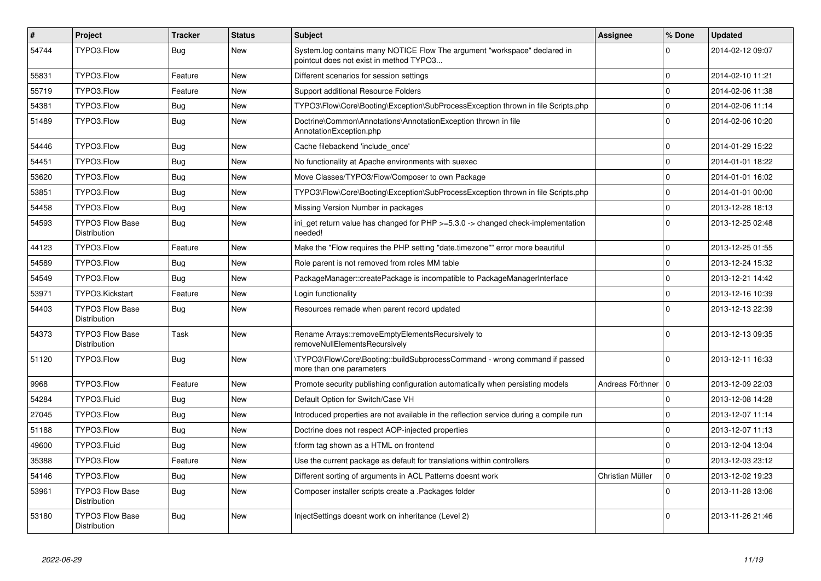| $\vert$ # | Project                                       | <b>Tracker</b> | <b>Status</b> | <b>Subject</b>                                                                                                       | <b>Assignee</b>      | % Done      | <b>Updated</b>   |
|-----------|-----------------------------------------------|----------------|---------------|----------------------------------------------------------------------------------------------------------------------|----------------------|-------------|------------------|
| 54744     | TYPO3.Flow                                    | Bug            | <b>New</b>    | System.log contains many NOTICE Flow The argument "workspace" declared in<br>pointcut does not exist in method TYPO3 |                      | $\Omega$    | 2014-02-12 09:07 |
| 55831     | TYPO3.Flow                                    | Feature        | <b>New</b>    | Different scenarios for session settings                                                                             |                      | $\Omega$    | 2014-02-10 11:21 |
| 55719     | TYPO3.Flow                                    | Feature        | <b>New</b>    | Support additional Resource Folders                                                                                  |                      | $\mathbf 0$ | 2014-02-06 11:38 |
| 54381     | TYPO3.Flow                                    | Bug            | <b>New</b>    | TYPO3\Flow\Core\Booting\Exception\SubProcessException thrown in file Scripts.php                                     |                      | $\mathbf 0$ | 2014-02-06 11:14 |
| 51489     | TYPO3.Flow                                    | <b>Bug</b>     | <b>New</b>    | Doctrine\Common\Annotations\AnnotationException thrown in file<br>AnnotationException.php                            |                      | $\Omega$    | 2014-02-06 10:20 |
| 54446     | TYPO3.Flow                                    | <b>Bug</b>     | <b>New</b>    | Cache filebackend 'include once'                                                                                     |                      | $\mathbf 0$ | 2014-01-29 15:22 |
| 54451     | TYPO3.Flow                                    | Bug            | <b>New</b>    | No functionality at Apache environments with suexec                                                                  |                      | $\Omega$    | 2014-01-01 18:22 |
| 53620     | TYPO3.Flow                                    | Bug            | <b>New</b>    | Move Classes/TYPO3/Flow/Composer to own Package                                                                      |                      | $\mathbf 0$ | 2014-01-01 16:02 |
| 53851     | TYPO3.Flow                                    | Bug            | <b>New</b>    | TYPO3\Flow\Core\Booting\Exception\SubProcessException thrown in file Scripts.php                                     |                      | $\mathbf 0$ | 2014-01-01 00:00 |
| 54458     | TYPO3.Flow                                    | Bug            | <b>New</b>    | Missing Version Number in packages                                                                                   |                      | $\Omega$    | 2013-12-28 18:13 |
| 54593     | <b>TYPO3 Flow Base</b><br><b>Distribution</b> | <b>Bug</b>     | <b>New</b>    | ini_get return value has changed for PHP >=5.3.0 -> changed check-implementation<br>needed!                          |                      | $\Omega$    | 2013-12-25 02:48 |
| 44123     | TYPO3.Flow                                    | Feature        | <b>New</b>    | Make the "Flow requires the PHP setting "date.timezone"" error more beautiful                                        |                      | $\mathbf 0$ | 2013-12-25 01:55 |
| 54589     | TYPO3.Flow                                    | Bug            | <b>New</b>    | Role parent is not removed from roles MM table                                                                       |                      | $\Omega$    | 2013-12-24 15:32 |
| 54549     | TYPO3.Flow                                    | Bug            | <b>New</b>    | PackageManager::createPackage is incompatible to PackageManagerInterface                                             |                      | $\mathbf 0$ | 2013-12-21 14:42 |
| 53971     | TYPO3.Kickstart                               | Feature        | <b>New</b>    | Login functionality                                                                                                  |                      | $\mathbf 0$ | 2013-12-16 10:39 |
| 54403     | <b>TYPO3 Flow Base</b><br><b>Distribution</b> | Bug            | <b>New</b>    | Resources remade when parent record updated                                                                          |                      | $\Omega$    | 2013-12-13 22:39 |
| 54373     | <b>TYPO3 Flow Base</b><br>Distribution        | Task           | New           | Rename Arrays::removeEmptyElementsRecursively to<br>removeNullElementsRecursively                                    |                      | $\Omega$    | 2013-12-13 09:35 |
| 51120     | TYPO3.Flow                                    | <b>Bug</b>     | <b>New</b>    | TYPO3\Flow\Core\Booting::buildSubprocessCommand - wrong command if passed<br>more than one parameters                |                      | $\Omega$    | 2013-12-11 16:33 |
| 9968      | TYPO3.Flow                                    | Feature        | <b>New</b>    | Promote security publishing configuration automatically when persisting models                                       | Andreas Förthner   0 |             | 2013-12-09 22:03 |
| 54284     | TYPO3.Fluid                                   | Bug            | <b>New</b>    | Default Option for Switch/Case VH                                                                                    |                      | $\mathbf 0$ | 2013-12-08 14:28 |
| 27045     | TYPO3.Flow                                    | Bug            | <b>New</b>    | Introduced properties are not available in the reflection service during a compile run                               |                      | $\mathbf 0$ | 2013-12-07 11:14 |
| 51188     | TYPO3.Flow                                    | Bug            | <b>New</b>    | Doctrine does not respect AOP-injected properties                                                                    |                      | $\mathbf 0$ | 2013-12-07 11:13 |
| 49600     | TYPO3.Fluid                                   | Bug            | <b>New</b>    | f:form tag shown as a HTML on frontend                                                                               |                      | $\Omega$    | 2013-12-04 13:04 |
| 35388     | TYPO3.Flow                                    | Feature        | <b>New</b>    | Use the current package as default for translations within controllers                                               |                      | $\mathbf 0$ | 2013-12-03 23:12 |
| 54146     | TYPO3.Flow                                    | Bug            | <b>New</b>    | Different sorting of arguments in ACL Patterns doesnt work                                                           | Christian Müller     | $\mathbf 0$ | 2013-12-02 19:23 |
| 53961     | <b>TYPO3 Flow Base</b><br>Distribution        | Bug            | <b>New</b>    | Composer installer scripts create a .Packages folder                                                                 |                      | $\Omega$    | 2013-11-28 13:06 |
| 53180     | <b>TYPO3 Flow Base</b><br>Distribution        | <b>Bug</b>     | <b>New</b>    | InjectSettings doesnt work on inheritance (Level 2)                                                                  |                      | $\Omega$    | 2013-11-26 21:46 |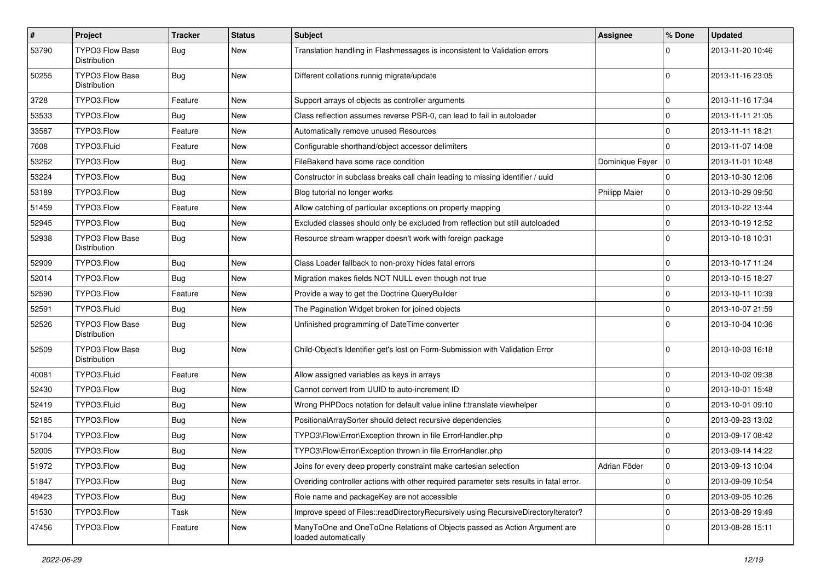| $\sharp$ | Project                                | <b>Tracker</b> | <b>Status</b> | Subject                                                                                           | Assignee             | % Done      | <b>Updated</b>   |
|----------|----------------------------------------|----------------|---------------|---------------------------------------------------------------------------------------------------|----------------------|-------------|------------------|
| 53790    | <b>TYPO3 Flow Base</b><br>Distribution | Bug            | New           | Translation handling in Flashmessages is inconsistent to Validation errors                        |                      | $\Omega$    | 2013-11-20 10:46 |
| 50255    | <b>TYPO3 Flow Base</b><br>Distribution | Bug            | <b>New</b>    | Different collations runnig migrate/update                                                        |                      | $\Omega$    | 2013-11-16 23:05 |
| 3728     | TYPO3.Flow                             | Feature        | <b>New</b>    | Support arrays of objects as controller arguments                                                 |                      | $\mathbf 0$ | 2013-11-16 17:34 |
| 53533    | TYPO3.Flow                             | Bug            | New           | Class reflection assumes reverse PSR-0, can lead to fail in autoloader                            |                      | $\mathbf 0$ | 2013-11-11 21:05 |
| 33587    | TYPO3.Flow                             | Feature        | <b>New</b>    | Automatically remove unused Resources                                                             |                      | $\mathbf 0$ | 2013-11-11 18:21 |
| 7608     | TYPO3.Fluid                            | Feature        | New           | Configurable shorthand/object accessor delimiters                                                 |                      | $\mathbf 0$ | 2013-11-07 14:08 |
| 53262    | TYPO3.Flow                             | <b>Bug</b>     | New           | FileBakend have some race condition                                                               | Dominique Feyer      | 10          | 2013-11-01 10:48 |
| 53224    | TYPO3.Flow                             | Bug            | <b>New</b>    | Constructor in subclass breaks call chain leading to missing identifier / uuid                    |                      | 0           | 2013-10-30 12:06 |
| 53189    | TYPO3.Flow                             | <b>Bug</b>     | New           | Blog tutorial no longer works                                                                     | <b>Philipp Maier</b> | $\mathbf 0$ | 2013-10-29 09:50 |
| 51459    | TYPO3.Flow                             | Feature        | <b>New</b>    | Allow catching of particular exceptions on property mapping                                       |                      | $\mathbf 0$ | 2013-10-22 13:44 |
| 52945    | TYPO3.Flow                             | Bug            | New           | Excluded classes should only be excluded from reflection but still autoloaded                     |                      | 0           | 2013-10-19 12:52 |
| 52938    | <b>TYPO3 Flow Base</b><br>Distribution | Bug            | <b>New</b>    | Resource stream wrapper doesn't work with foreign package                                         |                      | $\Omega$    | 2013-10-18 10:31 |
| 52909    | TYPO3.Flow                             | Bug            | <b>New</b>    | Class Loader fallback to non-proxy hides fatal errors                                             |                      | $\mathbf 0$ | 2013-10-17 11:24 |
| 52014    | TYPO3.Flow                             | Bug            | New           | Migration makes fields NOT NULL even though not true                                              |                      | $\mathbf 0$ | 2013-10-15 18:27 |
| 52590    | TYPO3.Flow                             | Feature        | <b>New</b>    | Provide a way to get the Doctrine QueryBuilder                                                    |                      | $\mathbf 0$ | 2013-10-11 10:39 |
| 52591    | TYPO3.Fluid                            | Bug            | New           | The Pagination Widget broken for joined objects                                                   |                      | $\mathbf 0$ | 2013-10-07 21:59 |
| 52526    | <b>TYPO3 Flow Base</b><br>Distribution | Bug            | New           | Unfinished programming of DateTime converter                                                      |                      | $\Omega$    | 2013-10-04 10:36 |
| 52509    | <b>TYPO3 Flow Base</b><br>Distribution | Bug            | <b>New</b>    | Child-Object's Identifier get's lost on Form-Submission with Validation Error                     |                      | $\Omega$    | 2013-10-03 16:18 |
| 40081    | TYPO3.Fluid                            | Feature        | <b>New</b>    | Allow assigned variables as keys in arrays                                                        |                      | 0           | 2013-10-02 09:38 |
| 52430    | TYPO3.Flow                             | Bug            | New           | Cannot convert from UUID to auto-increment ID                                                     |                      | $\mathbf 0$ | 2013-10-01 15:48 |
| 52419    | TYPO3.Fluid                            | Bug            | <b>New</b>    | Wrong PHPDocs notation for default value inline f:translate viewhelper                            |                      | $\mathbf 0$ | 2013-10-01 09:10 |
| 52185    | TYPO3.Flow                             | <b>Bug</b>     | New           | PositionalArraySorter should detect recursive dependencies                                        |                      | $\mathbf 0$ | 2013-09-23 13:02 |
| 51704    | TYPO3.Flow                             | Bug            | <b>New</b>    | TYPO3\Flow\Error\Exception thrown in file ErrorHandler.php                                        |                      | $\mathbf 0$ | 2013-09-17 08:42 |
| 52005    | TYPO3.Flow                             | Bug            | New           | TYPO3\Flow\Error\Exception thrown in file ErrorHandler.php                                        |                      | 0           | 2013-09-14 14:22 |
| 51972    | TYPO3.Flow                             | Bug            | New           | Joins for every deep property constraint make cartesian selection                                 | Adrian Föder         | $\mathbf 0$ | 2013-09-13 10:04 |
| 51847    | TYPO3.Flow                             | <b>Bug</b>     | New           | Overiding controller actions with other required parameter sets results in fatal error.           |                      | 0           | 2013-09-09 10:54 |
| 49423    | TYPO3.Flow                             | Bug            | New           | Role name and packageKey are not accessible                                                       |                      | $\mathbf 0$ | 2013-09-05 10:26 |
| 51530    | TYPO3.Flow                             | Task           | New           | Improve speed of Files::readDirectoryRecursively using RecursiveDirectoryIterator?                |                      | 0           | 2013-08-29 19:49 |
| 47456    | TYPO3.Flow                             | Feature        | New           | ManyToOne and OneToOne Relations of Objects passed as Action Argument are<br>loaded automatically |                      | 0           | 2013-08-28 15:11 |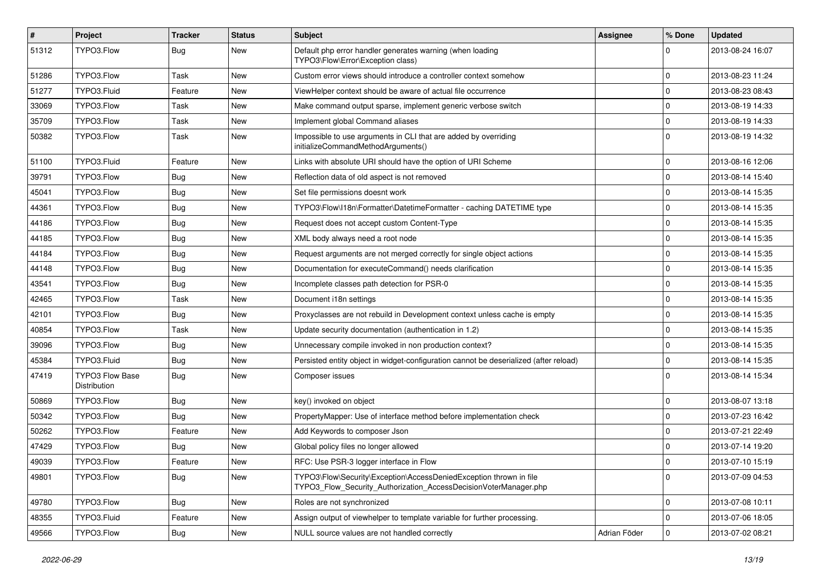| $\sharp$ | Project                                | <b>Tracker</b> | <b>Status</b> | Subject                                                                                                                                | <b>Assignee</b> | % Done      | <b>Updated</b>   |
|----------|----------------------------------------|----------------|---------------|----------------------------------------------------------------------------------------------------------------------------------------|-----------------|-------------|------------------|
| 51312    | TYPO3.Flow                             | Bug            | New           | Default php error handler generates warning (when loading<br>TYPO3\Flow\Error\Exception class)                                         |                 | $\Omega$    | 2013-08-24 16:07 |
| 51286    | TYPO3.Flow                             | Task           | <b>New</b>    | Custom error views should introduce a controller context somehow                                                                       |                 | $\mathbf 0$ | 2013-08-23 11:24 |
| 51277    | TYPO3.Fluid                            | Feature        | <b>New</b>    | ViewHelper context should be aware of actual file occurrence                                                                           |                 | 0           | 2013-08-23 08:43 |
| 33069    | TYPO3.Flow                             | Task           | <b>New</b>    | Make command output sparse, implement generic verbose switch                                                                           |                 | $\mathbf 0$ | 2013-08-19 14:33 |
| 35709    | TYPO3.Flow                             | Task           | <b>New</b>    | Implement global Command aliases                                                                                                       |                 | $\mathbf 0$ | 2013-08-19 14:33 |
| 50382    | TYPO3.Flow                             | Task           | <b>New</b>    | Impossible to use arguments in CLI that are added by overriding<br>initializeCommandMethodArguments()                                  |                 | $\Omega$    | 2013-08-19 14:32 |
| 51100    | TYPO3.Fluid                            | Feature        | <b>New</b>    | Links with absolute URI should have the option of URI Scheme                                                                           |                 | $\mathbf 0$ | 2013-08-16 12:06 |
| 39791    | TYPO3.Flow                             | Bug            | <b>New</b>    | Reflection data of old aspect is not removed                                                                                           |                 | $\mathbf 0$ | 2013-08-14 15:40 |
| 45041    | TYPO3.Flow                             | <b>Bug</b>     | <b>New</b>    | Set file permissions doesnt work                                                                                                       |                 | $\mathbf 0$ | 2013-08-14 15:35 |
| 44361    | TYPO3.Flow                             | Bug            | <b>New</b>    | TYPO3\Flow\I18n\Formatter\DatetimeFormatter - caching DATETIME type                                                                    |                 | $\mathbf 0$ | 2013-08-14 15:35 |
| 44186    | TYPO3.Flow                             | Bug            | <b>New</b>    | Request does not accept custom Content-Type                                                                                            |                 | 0           | 2013-08-14 15:35 |
| 44185    | TYPO3.Flow                             | Bug            | <b>New</b>    | XML body always need a root node                                                                                                       |                 | $\mathbf 0$ | 2013-08-14 15:35 |
| 44184    | TYPO3.Flow                             | Bug            | <b>New</b>    | Request arguments are not merged correctly for single object actions                                                                   |                 | $\mathbf 0$ | 2013-08-14 15:35 |
| 44148    | TYPO3.Flow                             | Bug            | <b>New</b>    | Documentation for executeCommand() needs clarification                                                                                 |                 | $\mathbf 0$ | 2013-08-14 15:35 |
| 43541    | TYPO3.Flow                             | <b>Bug</b>     | New           | Incomplete classes path detection for PSR-0                                                                                            |                 | $\mathbf 0$ | 2013-08-14 15:35 |
| 42465    | TYPO3.Flow                             | Task           | <b>New</b>    | Document i18n settings                                                                                                                 |                 | $\mathbf 0$ | 2013-08-14 15:35 |
| 42101    | TYPO3.Flow                             | Bug            | <b>New</b>    | Proxyclasses are not rebuild in Development context unless cache is empty                                                              |                 | $\mathbf 0$ | 2013-08-14 15:35 |
| 40854    | TYPO3.Flow                             | Task           | <b>New</b>    | Update security documentation (authentication in 1.2)                                                                                  |                 | $\mathbf 0$ | 2013-08-14 15:35 |
| 39096    | TYPO3.Flow                             | Bug            | <b>New</b>    | Unnecessary compile invoked in non production context?                                                                                 |                 | 0           | 2013-08-14 15:35 |
| 45384    | TYPO3.Fluid                            | <b>Bug</b>     | New           | Persisted entity object in widget-configuration cannot be deserialized (after reload)                                                  |                 | $\mathbf 0$ | 2013-08-14 15:35 |
| 47419    | <b>TYPO3 Flow Base</b><br>Distribution | Bug            | New           | Composer issues                                                                                                                        |                 | $\Omega$    | 2013-08-14 15:34 |
| 50869    | TYPO3.Flow                             | <b>Bug</b>     | <b>New</b>    | key() invoked on object                                                                                                                |                 | $\mathbf 0$ | 2013-08-07 13:18 |
| 50342    | TYPO3.Flow                             | Bug            | <b>New</b>    | PropertyMapper: Use of interface method before implementation check                                                                    |                 | $\mathbf 0$ | 2013-07-23 16:42 |
| 50262    | TYPO3.Flow                             | Feature        | <b>New</b>    | Add Keywords to composer Json                                                                                                          |                 | $\mathbf 0$ | 2013-07-21 22:49 |
| 47429    | TYPO3.Flow                             | <b>Bug</b>     | <b>New</b>    | Global policy files no longer allowed                                                                                                  |                 | 0           | 2013-07-14 19:20 |
| 49039    | TYPO3.Flow                             | Feature        | New           | RFC: Use PSR-3 logger interface in Flow                                                                                                |                 | $\Omega$    | 2013-07-10 15:19 |
| 49801    | TYPO3.Flow                             | <b>Bug</b>     | New           | TYPO3\Flow\Security\Exception\AccessDeniedException thrown in file<br>TYPO3_Flow_Security_Authorization_AccessDecisionVoterManager.php |                 | $\mathbf 0$ | 2013-07-09 04:53 |
| 49780    | TYPO3.Flow                             | <b>Bug</b>     | New           | Roles are not synchronized                                                                                                             |                 | $\mathbf 0$ | 2013-07-08 10:11 |
| 48355    | TYPO3.Fluid                            | Feature        | <b>New</b>    | Assign output of viewhelper to template variable for further processing.                                                               |                 | $\mathbf 0$ | 2013-07-06 18:05 |
| 49566    | TYPO3.Flow                             | Bug            | New           | NULL source values are not handled correctly                                                                                           | Adrian Föder    | 0           | 2013-07-02 08:21 |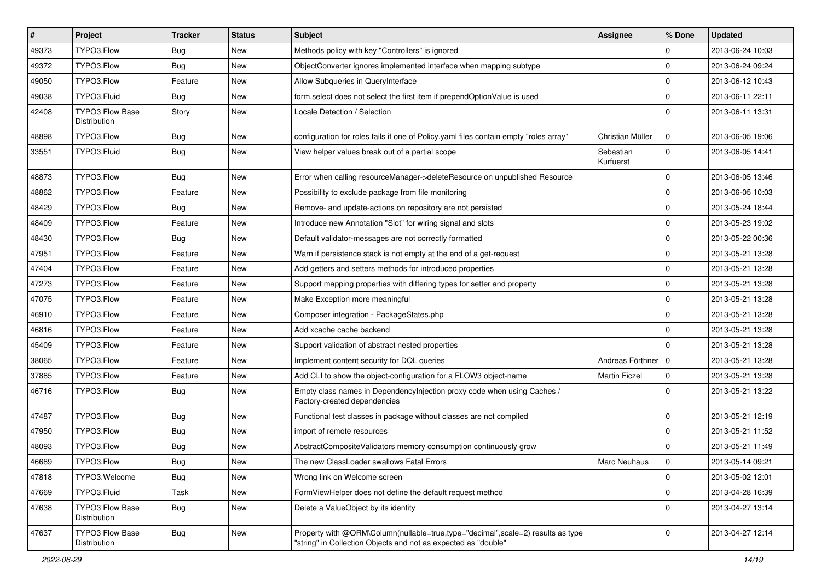| #     | Project                                | <b>Tracker</b> | <b>Status</b> | Subject                                                                                                                                           | <b>Assignee</b>        | % Done      | <b>Updated</b>   |
|-------|----------------------------------------|----------------|---------------|---------------------------------------------------------------------------------------------------------------------------------------------------|------------------------|-------------|------------------|
| 49373 | TYPO3.Flow                             | <b>Bug</b>     | <b>New</b>    | Methods policy with key "Controllers" is ignored                                                                                                  |                        | 0           | 2013-06-24 10:03 |
| 49372 | TYPO3.Flow                             | Bug            | <b>New</b>    | ObjectConverter ignores implemented interface when mapping subtype                                                                                |                        | 0           | 2013-06-24 09:24 |
| 49050 | TYPO3.Flow                             | Feature        | <b>New</b>    | Allow Subqueries in QueryInterface                                                                                                                |                        | $\mathbf 0$ | 2013-06-12 10:43 |
| 49038 | TYPO3.Fluid                            | Bug            | New           | form select does not select the first item if prependOptionValue is used                                                                          |                        | $\mathbf 0$ | 2013-06-11 22:11 |
| 42408 | <b>TYPO3 Flow Base</b><br>Distribution | Story          | <b>New</b>    | Locale Detection / Selection                                                                                                                      |                        | $\Omega$    | 2013-06-11 13:31 |
| 48898 | TYPO3.Flow                             | Bug            | <b>New</b>    | configuration for roles fails if one of Policy.yaml files contain empty "roles array"                                                             | Christian Müller       | $\mathbf 0$ | 2013-06-05 19:06 |
| 33551 | TYPO3.Fluid                            | Bug            | <b>New</b>    | View helper values break out of a partial scope                                                                                                   | Sebastian<br>Kurfuerst | $\mathbf 0$ | 2013-06-05 14:41 |
| 48873 | TYPO3.Flow                             | <b>Bug</b>     | <b>New</b>    | Error when calling resourceManager->deleteResource on unpublished Resource                                                                        |                        | 0           | 2013-06-05 13:46 |
| 48862 | TYPO3.Flow                             | Feature        | <b>New</b>    | Possibility to exclude package from file monitoring                                                                                               |                        | $\mathbf 0$ | 2013-06-05 10:03 |
| 48429 | TYPO3.Flow                             | <b>Bug</b>     | <b>New</b>    | Remove- and update-actions on repository are not persisted                                                                                        |                        | $\mathbf 0$ | 2013-05-24 18:44 |
| 48409 | TYPO3.Flow                             | Feature        | <b>New</b>    | Introduce new Annotation "Slot" for wiring signal and slots                                                                                       |                        | $\mathbf 0$ | 2013-05-23 19:02 |
| 48430 | TYPO3.Flow                             | Bug            | <b>New</b>    | Default validator-messages are not correctly formatted                                                                                            |                        | $\mathbf 0$ | 2013-05-22 00:36 |
| 47951 | TYPO3.Flow                             | Feature        | <b>New</b>    | Warn if persistence stack is not empty at the end of a get-request                                                                                |                        | $\mathbf 0$ | 2013-05-21 13:28 |
| 47404 | TYPO3.Flow                             | Feature        | <b>New</b>    | Add getters and setters methods for introduced properties                                                                                         |                        | 0           | 2013-05-21 13:28 |
| 47273 | TYPO3.Flow                             | Feature        | New           | Support mapping properties with differing types for setter and property                                                                           |                        | $\mathbf 0$ | 2013-05-21 13:28 |
| 47075 | TYPO3.Flow                             | Feature        | New           | Make Exception more meaningful                                                                                                                    |                        | 0           | 2013-05-21 13:28 |
| 46910 | TYPO3.Flow                             | Feature        | New           | Composer integration - PackageStates.php                                                                                                          |                        | $\mathbf 0$ | 2013-05-21 13:28 |
| 46816 | TYPO3.Flow                             | Feature        | New           | Add xcache cache backend                                                                                                                          |                        | $\mathbf 0$ | 2013-05-21 13:28 |
| 45409 | TYPO3.Flow                             | Feature        | <b>New</b>    | Support validation of abstract nested properties                                                                                                  |                        | 0           | 2013-05-21 13:28 |
| 38065 | TYPO3.Flow                             | Feature        | <b>New</b>    | Implement content security for DQL queries                                                                                                        | Andreas Förthner       | 0           | 2013-05-21 13:28 |
| 37885 | TYPO3.Flow                             | Feature        | <b>New</b>    | Add CLI to show the object-configuration for a FLOW3 object-name                                                                                  | <b>Martin Ficzel</b>   | $\mathbf 0$ | 2013-05-21 13:28 |
| 46716 | TYPO3.Flow                             | <b>Bug</b>     | <b>New</b>    | Empty class names in Dependencylnjection proxy code when using Caches /<br>Factory-created dependencies                                           |                        | $\Omega$    | 2013-05-21 13:22 |
| 47487 | TYPO3.Flow                             | Bug            | <b>New</b>    | Functional test classes in package without classes are not compiled                                                                               |                        | $\mathbf 0$ | 2013-05-21 12:19 |
| 47950 | TYPO3.Flow                             | <b>Bug</b>     | <b>New</b>    | import of remote resources                                                                                                                        |                        | $\Omega$    | 2013-05-21 11:52 |
| 48093 | TYPO3.Flow                             | <b>Bug</b>     | <b>New</b>    | AbstractCompositeValidators memory consumption continuously grow                                                                                  |                        | $\Omega$    | 2013-05-21 11:49 |
| 46689 | TYPO3.Flow                             | Bug            | New           | The new ClassLoader swallows Fatal Errors                                                                                                         | Marc Neuhaus           | 0           | 2013-05-14 09:21 |
| 47818 | TYPO3.Welcome                          | <b>Bug</b>     | New           | Wrong link on Welcome screen                                                                                                                      |                        | $\pmb{0}$   | 2013-05-02 12:01 |
| 47669 | TYPO3.Fluid                            | Task           | New           | FormViewHelper does not define the default request method                                                                                         |                        | 0           | 2013-04-28 16:39 |
| 47638 | <b>TYPO3 Flow Base</b><br>Distribution | <b>Bug</b>     | New           | Delete a ValueObject by its identity                                                                                                              |                        | $\mathbf 0$ | 2013-04-27 13:14 |
| 47637 | TYPO3 Flow Base<br>Distribution        | <b>Bug</b>     | New           | Property with @ORM\Column(nullable=true,type="decimal",scale=2) results as type<br>"string" in Collection Objects and not as expected as "double" |                        | $\mathbf 0$ | 2013-04-27 12:14 |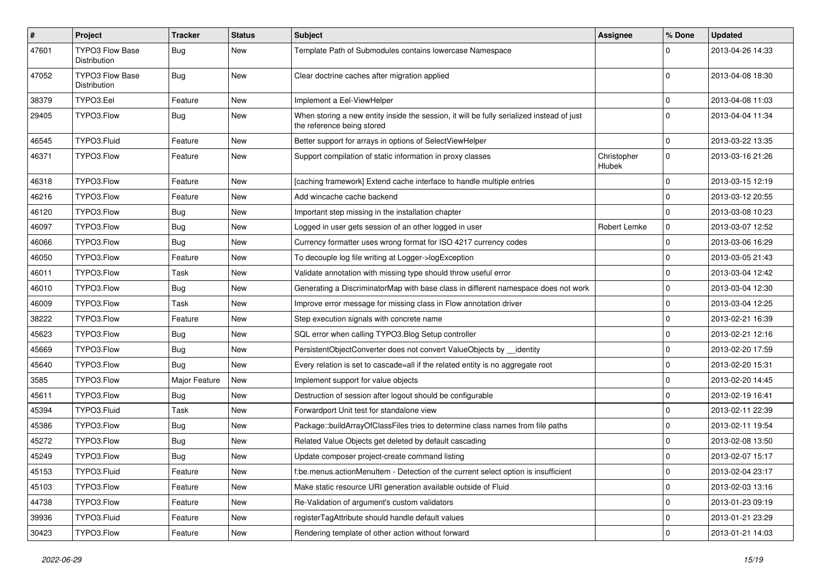| $\pmb{\#}$ | <b>Project</b>                         | <b>Tracker</b> | <b>Status</b> | <b>Subject</b>                                                                                                          | <b>Assignee</b>       | % Done      | <b>Updated</b>   |
|------------|----------------------------------------|----------------|---------------|-------------------------------------------------------------------------------------------------------------------------|-----------------------|-------------|------------------|
| 47601      | <b>TYPO3 Flow Base</b><br>Distribution | <b>Bug</b>     | New           | Template Path of Submodules contains lowercase Namespace                                                                |                       | 0           | 2013-04-26 14:33 |
| 47052      | <b>TYPO3 Flow Base</b><br>Distribution | Bug            | New           | Clear doctrine caches after migration applied                                                                           |                       | $\Omega$    | 2013-04-08 18:30 |
| 38379      | TYPO3.Eel                              | Feature        | <b>New</b>    | Implement a Eel-ViewHelper                                                                                              |                       | 0           | 2013-04-08 11:03 |
| 29405      | TYPO3.Flow                             | Bug            | New           | When storing a new entity inside the session, it will be fully serialized instead of just<br>the reference being stored |                       | $\Omega$    | 2013-04-04 11:34 |
| 46545      | TYPO3.Fluid                            | Feature        | New           | Better support for arrays in options of SelectViewHelper                                                                |                       | 0           | 2013-03-22 13:35 |
| 46371      | TYPO3.Flow                             | Feature        | New           | Support compilation of static information in proxy classes                                                              | Christopher<br>Hlubek | $\mathbf 0$ | 2013-03-16 21:26 |
| 46318      | TYPO3.Flow                             | Feature        | New           | [caching framework] Extend cache interface to handle multiple entries                                                   |                       | $\mathbf 0$ | 2013-03-15 12:19 |
| 46216      | TYPO3.Flow                             | Feature        | New           | Add wincache cache backend                                                                                              |                       | $\mathbf 0$ | 2013-03-12 20:55 |
| 46120      | TYPO3.Flow                             | <b>Bug</b>     | New           | Important step missing in the installation chapter                                                                      |                       | $\mathbf 0$ | 2013-03-08 10:23 |
| 46097      | TYPO3.Flow                             | <b>Bug</b>     | New           | Logged in user gets session of an other logged in user                                                                  | Robert Lemke          | 0           | 2013-03-07 12:52 |
| 46066      | TYPO3.Flow                             | <b>Bug</b>     | New           | Currency formatter uses wrong format for ISO 4217 currency codes                                                        |                       | 0           | 2013-03-06 16:29 |
| 46050      | TYPO3.Flow                             | Feature        | New           | To decouple log file writing at Logger->logException                                                                    |                       | $\mathbf 0$ | 2013-03-05 21:43 |
| 46011      | TYPO3.Flow                             | Task           | New           | Validate annotation with missing type should throw useful error                                                         |                       | 0           | 2013-03-04 12:42 |
| 46010      | TYPO3.Flow                             | Bug            | New           | Generating a DiscriminatorMap with base class in different namespace does not work                                      |                       | 0           | 2013-03-04 12:30 |
| 46009      | TYPO3.Flow                             | Task           | New           | Improve error message for missing class in Flow annotation driver                                                       |                       | 0           | 2013-03-04 12:25 |
| 38222      | TYPO3.Flow                             | Feature        | New           | Step execution signals with concrete name                                                                               |                       | $\mathbf 0$ | 2013-02-21 16:39 |
| 45623      | TYPO3.Flow                             | Bug            | New           | SQL error when calling TYPO3.Blog Setup controller                                                                      |                       | 0           | 2013-02-21 12:16 |
| 45669      | TYPO3.Flow                             | <b>Bug</b>     | New           | PersistentObjectConverter does not convert ValueObjects by __identity                                                   |                       | $\mathbf 0$ | 2013-02-20 17:59 |
| 45640      | TYPO3.Flow                             | Bug            | New           | Every relation is set to cascade=all if the related entity is no aggregate root                                         |                       | 0           | 2013-02-20 15:31 |
| 3585       | TYPO3.Flow                             | Major Feature  | New           | Implement support for value objects                                                                                     |                       | 0           | 2013-02-20 14:45 |
| 45611      | TYPO3.Flow                             | Bug            | New           | Destruction of session after logout should be configurable                                                              |                       | 0           | 2013-02-19 16:41 |
| 45394      | TYPO3.Fluid                            | Task           | New           | Forwardport Unit test for standalone view                                                                               |                       | $\mathbf 0$ | 2013-02-11 22:39 |
| 45386      | TYPO3.Flow                             | Bug            | New           | Package::buildArrayOfClassFiles tries to determine class names from file paths                                          |                       | $\mathbf 0$ | 2013-02-11 19:54 |
| 45272      | TYPO3.Flow                             | <b>Bug</b>     | New           | Related Value Objects get deleted by default cascading                                                                  |                       | 0           | 2013-02-08 13:50 |
| 45249      | TYPO3.Flow                             | <b>Bug</b>     | New           | Update composer project-create command listing                                                                          |                       | $\mathbf 0$ | 2013-02-07 15:17 |
| 45153      | TYPO3.Fluid                            | Feature        | New           | f:be.menus.actionMenuItem - Detection of the current select option is insufficient                                      |                       | $\pmb{0}$   | 2013-02-04 23:17 |
| 45103      | TYPO3.Flow                             | Feature        | New           | Make static resource URI generation available outside of Fluid                                                          |                       | 0           | 2013-02-03 13:16 |
| 44738      | TYPO3.Flow                             | Feature        | New           | Re-Validation of argument's custom validators                                                                           |                       | $\mathbf 0$ | 2013-01-23 09:19 |
| 39936      | TYPO3.Fluid                            | Feature        | New           | registerTagAttribute should handle default values                                                                       |                       | $\pmb{0}$   | 2013-01-21 23:29 |
| 30423      | TYPO3.Flow                             | Feature        | New           | Rendering template of other action without forward                                                                      |                       | $\mathbf 0$ | 2013-01-21 14:03 |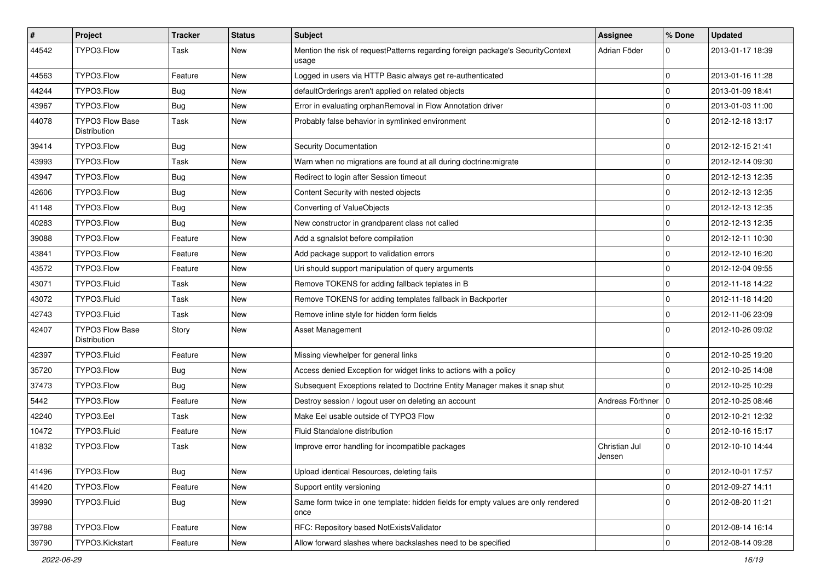| #     | Project                                | <b>Tracker</b> | <b>Status</b> | Subject                                                                                   | <b>Assignee</b>         | % Done      | <b>Updated</b>   |
|-------|----------------------------------------|----------------|---------------|-------------------------------------------------------------------------------------------|-------------------------|-------------|------------------|
| 44542 | TYPO3.Flow                             | Task           | <b>New</b>    | Mention the risk of requestPatterns regarding foreign package's SecurityContext<br>usage  | Adrian Föder            | 0           | 2013-01-17 18:39 |
| 44563 | TYPO3.Flow                             | Feature        | <b>New</b>    | Logged in users via HTTP Basic always get re-authenticated                                |                         | 0           | 2013-01-16 11:28 |
| 44244 | TYPO3.Flow                             | Bug            | <b>New</b>    | defaultOrderings aren't applied on related objects                                        |                         | $\mathbf 0$ | 2013-01-09 18:41 |
| 43967 | TYPO3.Flow                             | Bug            | <b>New</b>    | Error in evaluating orphanRemoval in Flow Annotation driver                               |                         | $\mathbf 0$ | 2013-01-03 11:00 |
| 44078 | <b>TYPO3 Flow Base</b><br>Distribution | Task           | <b>New</b>    | Probably false behavior in symlinked environment                                          |                         | $\Omega$    | 2012-12-18 13:17 |
| 39414 | TYPO3.Flow                             | Bug            | <b>New</b>    | Security Documentation                                                                    |                         | $\mathbf 0$ | 2012-12-15 21:41 |
| 43993 | TYPO3.Flow                             | Task           | <b>New</b>    | Warn when no migrations are found at all during doctrine: migrate                         |                         | $\mathbf 0$ | 2012-12-14 09:30 |
| 43947 | TYPO3.Flow                             | Bug            | <b>New</b>    | Redirect to login after Session timeout                                                   |                         | $\mathbf 0$ | 2012-12-13 12:35 |
| 42606 | TYPO3.Flow                             | Bug            | <b>New</b>    | Content Security with nested objects                                                      |                         | $\mathbf 0$ | 2012-12-13 12:35 |
| 41148 | TYPO3.Flow                             | Bug            | <b>New</b>    | Converting of ValueObjects                                                                |                         | $\mathbf 0$ | 2012-12-13 12:35 |
| 40283 | TYPO3.Flow                             | Bug            | <b>New</b>    | New constructor in grandparent class not called                                           |                         | $\mathbf 0$ | 2012-12-13 12:35 |
| 39088 | TYPO3.Flow                             | Feature        | New           | Add a sgnalslot before compilation                                                        |                         | $\mathbf 0$ | 2012-12-11 10:30 |
| 43841 | TYPO3.Flow                             | Feature        | <b>New</b>    | Add package support to validation errors                                                  |                         | $\mathbf 0$ | 2012-12-10 16:20 |
| 43572 | TYPO3.Flow                             | Feature        | <b>New</b>    | Uri should support manipulation of query arguments                                        |                         | $\mathbf 0$ | 2012-12-04 09:55 |
| 43071 | TYPO3.Fluid                            | Task           | <b>New</b>    | Remove TOKENS for adding fallback teplates in B                                           |                         | $\mathbf 0$ | 2012-11-18 14:22 |
| 43072 | TYPO3.Fluid                            | Task           | <b>New</b>    | Remove TOKENS for adding templates fallback in Backporter                                 |                         | 0           | 2012-11-18 14:20 |
| 42743 | TYPO3.Fluid                            | Task           | <b>New</b>    | Remove inline style for hidden form fields                                                |                         | $\mathbf 0$ | 2012-11-06 23:09 |
| 42407 | <b>TYPO3 Flow Base</b><br>Distribution | Story          | New           | Asset Management                                                                          |                         | $\Omega$    | 2012-10-26 09:02 |
| 42397 | TYPO3.Fluid                            | Feature        | <b>New</b>    | Missing viewhelper for general links                                                      |                         | $\mathbf 0$ | 2012-10-25 19:20 |
| 35720 | TYPO3.Flow                             | Bug            | <b>New</b>    | Access denied Exception for widget links to actions with a policy                         |                         | $\mathbf 0$ | 2012-10-25 14:08 |
| 37473 | TYPO3.Flow                             | Bug            | <b>New</b>    | Subsequent Exceptions related to Doctrine Entity Manager makes it snap shut               |                         | $\mathbf 0$ | 2012-10-25 10:29 |
| 5442  | TYPO3.Flow                             | Feature        | <b>New</b>    | Destroy session / logout user on deleting an account                                      | Andreas Förthner        | 0           | 2012-10-25 08:46 |
| 42240 | TYPO3.Eel                              | Task           | <b>New</b>    | Make Eel usable outside of TYPO3 Flow                                                     |                         | 0           | 2012-10-21 12:32 |
| 10472 | TYPO3.Fluid                            | Feature        | New           | Fluid Standalone distribution                                                             |                         | $\mathbf 0$ | 2012-10-16 15:17 |
| 41832 | TYPO3.Flow                             | Task           | New           | Improve error handling for incompatible packages                                          | Christian Jul<br>Jensen | $\Omega$    | 2012-10-10 14:44 |
| 41496 | TYPO3.Flow                             | <b>Bug</b>     | New           | Upload identical Resources, deleting fails                                                |                         | 0           | 2012-10-01 17:57 |
| 41420 | TYPO3.Flow                             | Feature        | <b>New</b>    | Support entity versioning                                                                 |                         | 0           | 2012-09-27 14:11 |
| 39990 | TYPO3.Fluid                            | <b>Bug</b>     | New           | Same form twice in one template: hidden fields for empty values are only rendered<br>once |                         | $\mathbf 0$ | 2012-08-20 11:21 |
| 39788 | TYPO3.Flow                             | Feature        | New           | RFC: Repository based NotExistsValidator                                                  |                         | 0           | 2012-08-14 16:14 |
| 39790 | TYPO3.Kickstart                        | Feature        | New           | Allow forward slashes where backslashes need to be specified                              |                         | $\pmb{0}$   | 2012-08-14 09:28 |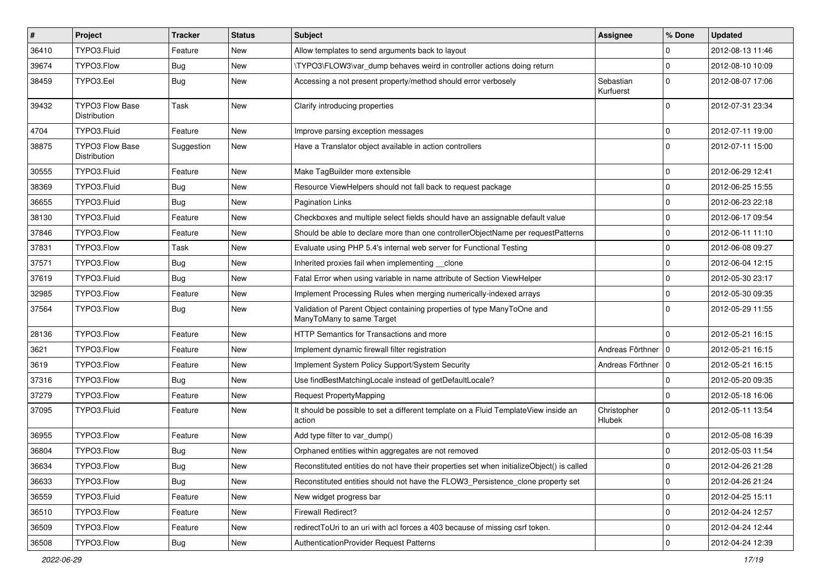| $\vert$ # | Project                                | Tracker    | <b>Status</b> | Subject                                                                                              | <b>Assignee</b>        | % Done      | <b>Updated</b>   |
|-----------|----------------------------------------|------------|---------------|------------------------------------------------------------------------------------------------------|------------------------|-------------|------------------|
| 36410     | TYPO3.Fluid                            | Feature    | New           | Allow templates to send arguments back to layout                                                     |                        | $\Omega$    | 2012-08-13 11:46 |
| 39674     | TYPO3.Flow                             | <b>Bug</b> | New           | \TYPO3\FLOW3\var_dump behaves weird in controller actions doing return                               |                        | $\mathbf 0$ | 2012-08-10 10:09 |
| 38459     | TYPO3.Eel                              | Bug        | New           | Accessing a not present property/method should error verbosely                                       | Sebastian<br>Kurfuerst | $\Omega$    | 2012-08-07 17:06 |
| 39432     | <b>TYPO3 Flow Base</b><br>Distribution | Task       | New           | Clarify introducing properties                                                                       |                        | $\Omega$    | 2012-07-31 23:34 |
| 4704      | TYPO3.Fluid                            | Feature    | New           | Improve parsing exception messages                                                                   |                        | $\mathbf 0$ | 2012-07-11 19:00 |
| 38875     | <b>TYPO3 Flow Base</b><br>Distribution | Suggestion | New           | Have a Translator object available in action controllers                                             |                        | $\Omega$    | 2012-07-11 15:00 |
| 30555     | TYPO3.Fluid                            | Feature    | <b>New</b>    | Make TagBuilder more extensible                                                                      |                        | $\mathbf 0$ | 2012-06-29 12:41 |
| 38369     | TYPO3.Fluid                            | <b>Bug</b> | New           | Resource ViewHelpers should not fall back to request package                                         |                        | $\Omega$    | 2012-06-25 15:55 |
| 36655     | TYPO3.Fluid                            | <b>Bug</b> | New           | Pagination Links                                                                                     |                        | $\mathbf 0$ | 2012-06-23 22:18 |
| 38130     | TYPO3.Fluid                            | Feature    | New           | Checkboxes and multiple select fields should have an assignable default value                        |                        | $\mathbf 0$ | 2012-06-17 09:54 |
| 37846     | TYPO3.Flow                             | Feature    | New           | Should be able to declare more than one controllerObjectName per requestPatterns                     |                        | $\mathbf 0$ | 2012-06-11 11:10 |
| 37831     | TYPO3.Flow                             | Task       | New           | Evaluate using PHP 5.4's internal web server for Functional Testing                                  |                        | $\Omega$    | 2012-06-08 09:27 |
| 37571     | TYPO3.Flow                             | <b>Bug</b> | New           | Inherited proxies fail when implementing clone                                                       |                        | $\mathbf 0$ | 2012-06-04 12:15 |
| 37619     | TYPO3.Fluid                            | <b>Bug</b> | New           | Fatal Error when using variable in name attribute of Section ViewHelper                              |                        | $\mathbf 0$ | 2012-05-30 23:17 |
| 32985     | TYPO3.Flow                             | Feature    | New           | Implement Processing Rules when merging numerically-indexed arrays                                   |                        | $\Omega$    | 2012-05-30 09:35 |
| 37564     | TYPO3.Flow                             | Bug        | New           | Validation of Parent Object containing properties of type ManyToOne and<br>ManyToMany to same Target |                        | $\Omega$    | 2012-05-29 11:55 |
| 28136     | TYPO3.Flow                             | Feature    | <b>New</b>    | HTTP Semantics for Transactions and more                                                             |                        | $\Omega$    | 2012-05-21 16:15 |
| 3621      | TYPO3.Flow                             | Feature    | New           | Implement dynamic firewall filter registration                                                       | Andreas Förthner   0   |             | 2012-05-21 16:15 |
| 3619      | TYPO3.Flow                             | Feature    | New           | Implement System Policy Support/System Security                                                      | Andreas Förthner   0   |             | 2012-05-21 16:15 |
| 37316     | TYPO3.Flow                             | <b>Bug</b> | New           | Use findBestMatchingLocale instead of getDefaultLocale?                                              |                        | 0           | 2012-05-20 09:35 |
| 37279     | TYPO3.Flow                             | Feature    | New           | Request PropertyMapping                                                                              |                        | $\mathbf 0$ | 2012-05-18 16:06 |
| 37095     | TYPO3.Fluid                            | Feature    | New           | It should be possible to set a different template on a Fluid TemplateView inside an<br>action        | Christopher<br>Hlubek  | $\Omega$    | 2012-05-11 13:54 |
| 36955     | TYPO3.Flow                             | Feature    | New           | Add type filter to var_dump()                                                                        |                        | $\Omega$    | 2012-05-08 16:39 |
| 36804     | TYPO3.Flow                             | <b>Bug</b> | New           | Orphaned entities within aggregates are not removed                                                  |                        | $\mathbf 0$ | 2012-05-03 11:54 |
| 36634     | TYPO3.Flow                             | <b>Bug</b> | New           | Reconstituted entities do not have their properties set when initializeObject() is called            |                        | U           | 2012-04-26 21:28 |
| 36633     | TYPO3.Flow                             | <b>Bug</b> | <b>New</b>    | Reconstituted entities should not have the FLOW3_Persistence_clone property set                      |                        | $\pmb{0}$   | 2012-04-26 21:24 |
| 36559     | TYPO3.Fluid                            | Feature    | New           | New widget progress bar                                                                              |                        | 0           | 2012-04-25 15:11 |
| 36510     | TYPO3.Flow                             | Feature    | New           | Firewall Redirect?                                                                                   |                        | $\mathbf 0$ | 2012-04-24 12:57 |
| 36509     | TYPO3.Flow                             | Feature    | New           | redirectToUri to an uri with acl forces a 403 because of missing csrf token.                         |                        | 0           | 2012-04-24 12:44 |
| 36508     | TYPO3.Flow                             | Bug        | New           | AuthenticationProvider Request Patterns                                                              |                        | $\pmb{0}$   | 2012-04-24 12:39 |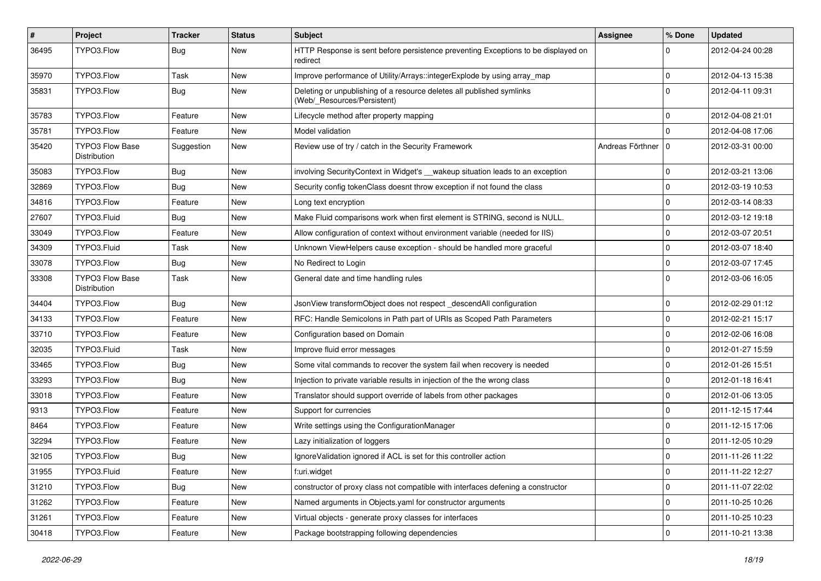| $\vert$ # | Project                                | <b>Tracker</b> | <b>Status</b> | <b>Subject</b>                                                                                       | <b>Assignee</b>  | % Done              | <b>Updated</b>   |
|-----------|----------------------------------------|----------------|---------------|------------------------------------------------------------------------------------------------------|------------------|---------------------|------------------|
| 36495     | TYPO3.Flow                             | Bug            | New           | HTTP Response is sent before persistence preventing Exceptions to be displayed on<br>redirect        |                  | 0                   | 2012-04-24 00:28 |
| 35970     | TYPO3.Flow                             | Task           | New           | Improve performance of Utility/Arrays::integerExplode by using array_map                             |                  | $\mathbf 0$         | 2012-04-13 15:38 |
| 35831     | TYPO3.Flow                             | <b>Bug</b>     | <b>New</b>    | Deleting or unpublishing of a resource deletes all published symlinks<br>(Web/_Resources/Persistent) |                  | $\Omega$            | 2012-04-11 09:31 |
| 35783     | TYPO3.Flow                             | Feature        | <b>New</b>    | Lifecycle method after property mapping                                                              |                  | 0                   | 2012-04-08 21:01 |
| 35781     | TYPO3.Flow                             | Feature        | <b>New</b>    | Model validation                                                                                     |                  | $\Omega$            | 2012-04-08 17:06 |
| 35420     | TYPO3 Flow Base<br>Distribution        | Suggestion     | <b>New</b>    | Review use of try / catch in the Security Framework                                                  | Andreas Förthner | l 0                 | 2012-03-31 00:00 |
| 35083     | TYPO3.Flow                             | Bug            | <b>New</b>    | involving SecurityContext in Widget's __wakeup situation leads to an exception                       |                  | $\mathbf 0$         | 2012-03-21 13:06 |
| 32869     | TYPO3.Flow                             | <b>Bug</b>     | New           | Security config tokenClass doesnt throw exception if not found the class                             |                  | $\mathbf 0$         | 2012-03-19 10:53 |
| 34816     | TYPO3.Flow                             | Feature        | <b>New</b>    | Long text encryption                                                                                 |                  | 0                   | 2012-03-14 08:33 |
| 27607     | TYPO3.Fluid                            | Bug            | <b>New</b>    | Make Fluid comparisons work when first element is STRING, second is NULL.                            |                  | 0                   | 2012-03-12 19:18 |
| 33049     | TYPO3.Flow                             | Feature        | <b>New</b>    | Allow configuration of context without environment variable (needed for IIS)                         |                  | 0                   | 2012-03-07 20:51 |
| 34309     | TYPO3.Fluid                            | Task           | New           | Unknown ViewHelpers cause exception - should be handled more graceful                                |                  | $\mathbf 0$         | 2012-03-07 18:40 |
| 33078     | TYPO3.Flow                             | <b>Bug</b>     | New           | No Redirect to Login                                                                                 |                  | $\mathbf 0$         | 2012-03-07 17:45 |
| 33308     | <b>TYPO3 Flow Base</b><br>Distribution | Task           | <b>New</b>    | General date and time handling rules                                                                 |                  | $\Omega$            | 2012-03-06 16:05 |
| 34404     | TYPO3.Flow                             | <b>Bug</b>     | <b>New</b>    | JsonView transformObject does not respect descendAll configuration                                   |                  | $\mathbf 0$         | 2012-02-29 01:12 |
| 34133     | TYPO3.Flow                             | Feature        | <b>New</b>    | RFC: Handle Semicolons in Path part of URIs as Scoped Path Parameters                                |                  | 0                   | 2012-02-21 15:17 |
| 33710     | TYPO3.Flow                             | Feature        | <b>New</b>    | Configuration based on Domain                                                                        |                  | $\mathbf 0$         | 2012-02-06 16:08 |
| 32035     | TYPO3.Fluid                            | Task           | New           | Improve fluid error messages                                                                         |                  | 0                   | 2012-01-27 15:59 |
| 33465     | TYPO3.Flow                             | <b>Bug</b>     | <b>New</b>    | Some vital commands to recover the system fail when recovery is needed                               |                  | $\mathbf 0$         | 2012-01-26 15:51 |
| 33293     | TYPO3.Flow                             | <b>Bug</b>     | New           | Injection to private variable results in injection of the the wrong class                            |                  | $\mathbf 0$         | 2012-01-18 16:41 |
| 33018     | TYPO3.Flow                             | Feature        | <b>New</b>    | Translator should support override of labels from other packages                                     |                  | 0                   | 2012-01-06 13:05 |
| 9313      | TYPO3.Flow                             | Feature        | <b>New</b>    | Support for currencies                                                                               |                  | 0                   | 2011-12-15 17:44 |
| 8464      | TYPO3.Flow                             | Feature        | New           | Write settings using the ConfigurationManager                                                        |                  | 0                   | 2011-12-15 17:06 |
| 32294     | TYPO3.Flow                             | Feature        | New           | Lazy initialization of loggers                                                                       |                  | $\mathbf 0$         | 2011-12-05 10:29 |
| 32105     | TYPO3.Flow                             | Bug            | New           | IgnoreValidation ignored if ACL is set for this controller action                                    |                  | $\mathbf 0$         | 2011-11-26 11:22 |
| 31955     | TYPO3.Fluid                            | Feature        | New           | f:uri.widget                                                                                         |                  | $\mathbf 0$         | 2011-11-22 12:27 |
| 31210     | TYPO3.Flow                             | <b>Bug</b>     | New           | constructor of proxy class not compatible with interfaces defening a constructor                     |                  | $\mathbf 0$         | 2011-11-07 22:02 |
| 31262     | TYPO3.Flow                             | Feature        | New           | Named arguments in Objects.yaml for constructor arguments                                            |                  | $\mathbf 0$         | 2011-10-25 10:26 |
| 31261     | TYPO3.Flow                             | Feature        | New           | Virtual objects - generate proxy classes for interfaces                                              |                  | $\mathbf 0$         | 2011-10-25 10:23 |
| 30418     | TYPO3.Flow                             | Feature        | New           | Package bootstrapping following dependencies                                                         |                  | $\mathsf{O}\xspace$ | 2011-10-21 13:38 |